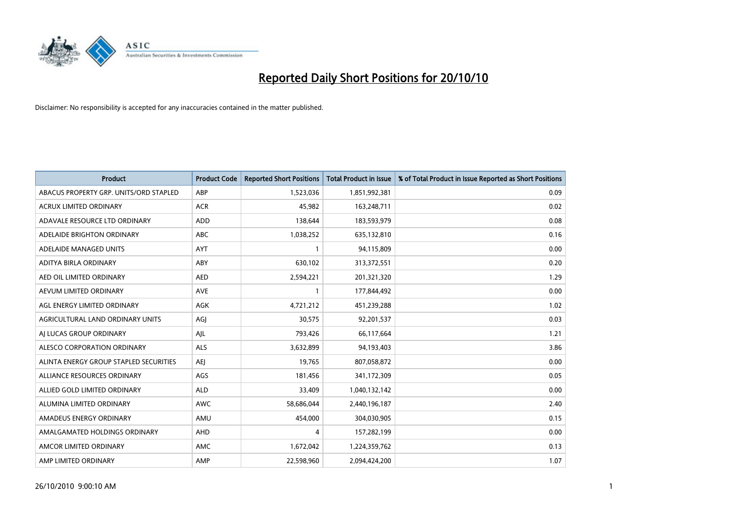

| <b>Product</b>                         | <b>Product Code</b> | <b>Reported Short Positions</b> | <b>Total Product in Issue</b> | % of Total Product in Issue Reported as Short Positions |
|----------------------------------------|---------------------|---------------------------------|-------------------------------|---------------------------------------------------------|
| ABACUS PROPERTY GRP. UNITS/ORD STAPLED | ABP                 | 1,523,036                       | 1,851,992,381                 | 0.09                                                    |
| ACRUX LIMITED ORDINARY                 | <b>ACR</b>          | 45,982                          | 163,248,711                   | 0.02                                                    |
| ADAVALE RESOURCE LTD ORDINARY          | <b>ADD</b>          | 138,644                         | 183,593,979                   | 0.08                                                    |
| ADELAIDE BRIGHTON ORDINARY             | ABC                 | 1,038,252                       | 635,132,810                   | 0.16                                                    |
| ADELAIDE MANAGED UNITS                 | AYT                 |                                 | 94,115,809                    | 0.00                                                    |
| ADITYA BIRLA ORDINARY                  | ABY                 | 630,102                         | 313,372,551                   | 0.20                                                    |
| AED OIL LIMITED ORDINARY               | <b>AED</b>          | 2,594,221                       | 201,321,320                   | 1.29                                                    |
| AEVUM LIMITED ORDINARY                 | <b>AVE</b>          |                                 | 177,844,492                   | 0.00                                                    |
| AGL ENERGY LIMITED ORDINARY            | AGK                 | 4,721,212                       | 451,239,288                   | 1.02                                                    |
| AGRICULTURAL LAND ORDINARY UNITS       | AGI                 | 30,575                          | 92,201,537                    | 0.03                                                    |
| AJ LUCAS GROUP ORDINARY                | AJL                 | 793,426                         | 66,117,664                    | 1.21                                                    |
| ALESCO CORPORATION ORDINARY            | <b>ALS</b>          | 3,632,899                       | 94,193,403                    | 3.86                                                    |
| ALINTA ENERGY GROUP STAPLED SECURITIES | <b>AEJ</b>          | 19,765                          | 807,058,872                   | 0.00                                                    |
| ALLIANCE RESOURCES ORDINARY            | AGS                 | 181,456                         | 341,172,309                   | 0.05                                                    |
| ALLIED GOLD LIMITED ORDINARY           | <b>ALD</b>          | 33,409                          | 1,040,132,142                 | 0.00                                                    |
| ALUMINA LIMITED ORDINARY               | <b>AWC</b>          | 58,686,044                      | 2,440,196,187                 | 2.40                                                    |
| AMADEUS ENERGY ORDINARY                | AMU                 | 454,000                         | 304,030,905                   | 0.15                                                    |
| AMALGAMATED HOLDINGS ORDINARY          | <b>AHD</b>          | 4                               | 157,282,199                   | 0.00                                                    |
| AMCOR LIMITED ORDINARY                 | <b>AMC</b>          | 1,672,042                       | 1,224,359,762                 | 0.13                                                    |
| AMP LIMITED ORDINARY                   | AMP                 | 22.598.960                      | 2.094.424.200                 | 1.07                                                    |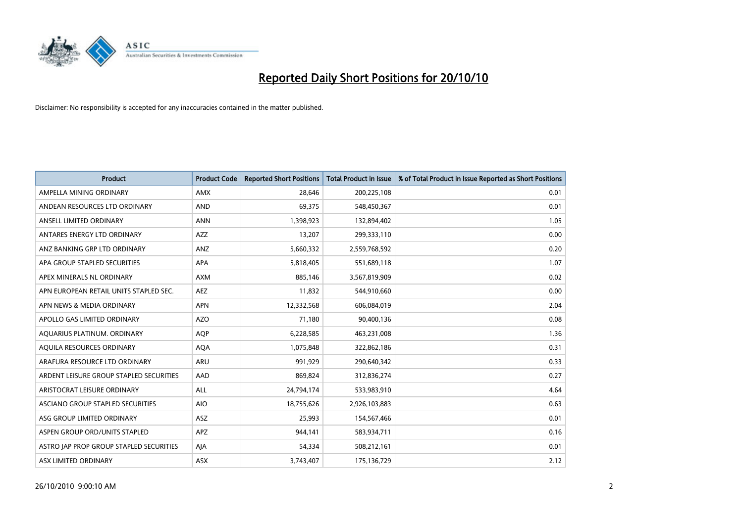

| <b>Product</b>                          | <b>Product Code</b> | <b>Reported Short Positions</b> | <b>Total Product in Issue</b> | % of Total Product in Issue Reported as Short Positions |
|-----------------------------------------|---------------------|---------------------------------|-------------------------------|---------------------------------------------------------|
| AMPELLA MINING ORDINARY                 | <b>AMX</b>          | 28.646                          | 200,225,108                   | 0.01                                                    |
| ANDEAN RESOURCES LTD ORDINARY           | <b>AND</b>          | 69,375                          | 548,450,367                   | 0.01                                                    |
| ANSELL LIMITED ORDINARY                 | <b>ANN</b>          | 1,398,923                       | 132,894,402                   | 1.05                                                    |
| ANTARES ENERGY LTD ORDINARY             | <b>AZZ</b>          | 13,207                          | 299,333,110                   | 0.00                                                    |
| ANZ BANKING GRP LTD ORDINARY            | ANZ                 | 5,660,332                       | 2,559,768,592                 | 0.20                                                    |
| APA GROUP STAPLED SECURITIES            | <b>APA</b>          | 5,818,405                       | 551,689,118                   | 1.07                                                    |
| APEX MINERALS NL ORDINARY               | <b>AXM</b>          | 885,146                         | 3,567,819,909                 | 0.02                                                    |
| APN EUROPEAN RETAIL UNITS STAPLED SEC.  | <b>AEZ</b>          | 11,832                          | 544,910,660                   | 0.00                                                    |
| APN NEWS & MEDIA ORDINARY               | <b>APN</b>          | 12,332,568                      | 606,084,019                   | 2.04                                                    |
| APOLLO GAS LIMITED ORDINARY             | <b>AZO</b>          | 71,180                          | 90,400,136                    | 0.08                                                    |
| AQUARIUS PLATINUM. ORDINARY             | <b>AOP</b>          | 6,228,585                       | 463,231,008                   | 1.36                                                    |
| AQUILA RESOURCES ORDINARY               | <b>AQA</b>          | 1,075,848                       | 322,862,186                   | 0.31                                                    |
| ARAFURA RESOURCE LTD ORDINARY           | <b>ARU</b>          | 991,929                         | 290,640,342                   | 0.33                                                    |
| ARDENT LEISURE GROUP STAPLED SECURITIES | AAD                 | 869,824                         | 312,836,274                   | 0.27                                                    |
| ARISTOCRAT LEISURE ORDINARY             | <b>ALL</b>          | 24,794,174                      | 533,983,910                   | 4.64                                                    |
| ASCIANO GROUP STAPLED SECURITIES        | <b>AIO</b>          | 18,755,626                      | 2,926,103,883                 | 0.63                                                    |
| ASG GROUP LIMITED ORDINARY              | <b>ASZ</b>          | 25,993                          | 154,567,466                   | 0.01                                                    |
| ASPEN GROUP ORD/UNITS STAPLED           | <b>APZ</b>          | 944,141                         | 583,934,711                   | 0.16                                                    |
| ASTRO JAP PROP GROUP STAPLED SECURITIES | AJA                 | 54,334                          | 508,212,161                   | 0.01                                                    |
| ASX LIMITED ORDINARY                    | ASX                 | 3,743,407                       | 175,136,729                   | 2.12                                                    |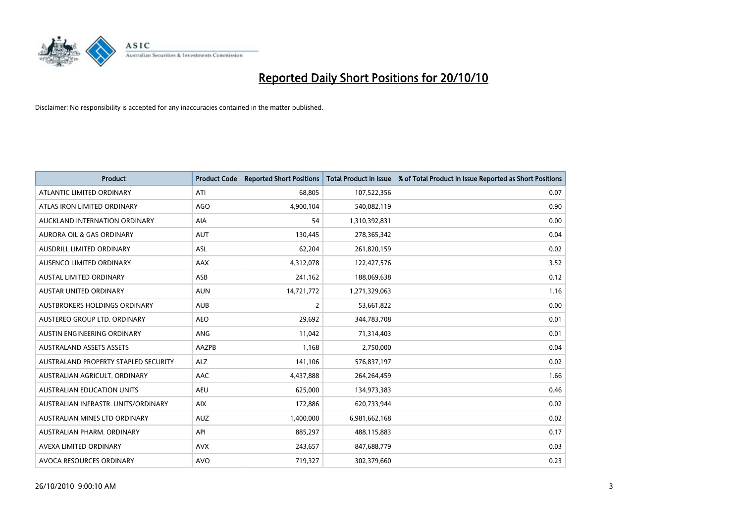

| <b>Product</b>                       | <b>Product Code</b> | <b>Reported Short Positions</b> | <b>Total Product in Issue</b> | % of Total Product in Issue Reported as Short Positions |
|--------------------------------------|---------------------|---------------------------------|-------------------------------|---------------------------------------------------------|
| ATLANTIC LIMITED ORDINARY            | ATI                 | 68.805                          | 107,522,356                   | 0.07                                                    |
| ATLAS IRON LIMITED ORDINARY          | AGO                 | 4,900,104                       | 540,082,119                   | 0.90                                                    |
| AUCKLAND INTERNATION ORDINARY        | <b>AIA</b>          | 54                              | 1,310,392,831                 | 0.00                                                    |
| AURORA OIL & GAS ORDINARY            | <b>AUT</b>          | 130,445                         | 278,365,342                   | 0.04                                                    |
| <b>AUSDRILL LIMITED ORDINARY</b>     | ASL                 | 62,204                          | 261,820,159                   | 0.02                                                    |
| AUSENCO LIMITED ORDINARY             | AAX                 | 4,312,078                       | 122,427,576                   | 3.52                                                    |
| AUSTAL LIMITED ORDINARY              | ASB                 | 241,162                         | 188,069,638                   | 0.12                                                    |
| <b>AUSTAR UNITED ORDINARY</b>        | <b>AUN</b>          | 14,721,772                      | 1,271,329,063                 | 1.16                                                    |
| AUSTBROKERS HOLDINGS ORDINARY        | <b>AUB</b>          | 2                               | 53,661,822                    | 0.00                                                    |
| AUSTEREO GROUP LTD. ORDINARY         | <b>AEO</b>          | 29,692                          | 344,783,708                   | 0.01                                                    |
| AUSTIN ENGINEERING ORDINARY          | <b>ANG</b>          | 11,042                          | 71,314,403                    | 0.01                                                    |
| <b>AUSTRALAND ASSETS ASSETS</b>      | AAZPB               | 1,168                           | 2,750,000                     | 0.04                                                    |
| AUSTRALAND PROPERTY STAPLED SECURITY | ALZ                 | 141,106                         | 576,837,197                   | 0.02                                                    |
| AUSTRALIAN AGRICULT, ORDINARY        | AAC                 | 4,437,888                       | 264,264,459                   | 1.66                                                    |
| <b>AUSTRALIAN EDUCATION UNITS</b>    | <b>AEU</b>          | 625.000                         | 134,973,383                   | 0.46                                                    |
| AUSTRALIAN INFRASTR, UNITS/ORDINARY  | <b>AIX</b>          | 172,886                         | 620,733,944                   | 0.02                                                    |
| AUSTRALIAN MINES LTD ORDINARY        | <b>AUZ</b>          | 1,400,000                       | 6,981,662,168                 | 0.02                                                    |
| AUSTRALIAN PHARM. ORDINARY           | API                 | 885,297                         | 488,115,883                   | 0.17                                                    |
| AVEXA LIMITED ORDINARY               | <b>AVX</b>          | 243,657                         | 847,688,779                   | 0.03                                                    |
| AVOCA RESOURCES ORDINARY             | <b>AVO</b>          | 719,327                         | 302,379,660                   | 0.23                                                    |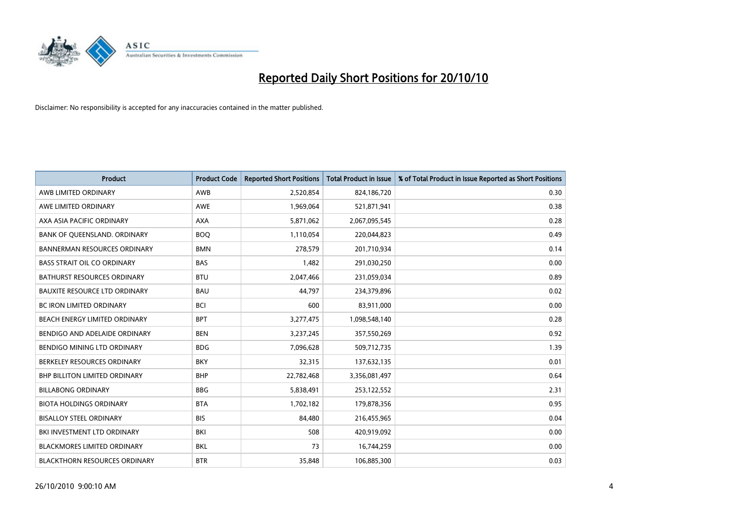

| <b>Product</b>                       | <b>Product Code</b> | <b>Reported Short Positions</b> | Total Product in Issue | % of Total Product in Issue Reported as Short Positions |
|--------------------------------------|---------------------|---------------------------------|------------------------|---------------------------------------------------------|
| AWB LIMITED ORDINARY                 | AWB                 | 2,520,854                       | 824,186,720            | 0.30                                                    |
| AWE LIMITED ORDINARY                 | AWE                 | 1,969,064                       | 521,871,941            | 0.38                                                    |
| AXA ASIA PACIFIC ORDINARY            | <b>AXA</b>          | 5,871,062                       | 2,067,095,545          | 0.28                                                    |
| BANK OF QUEENSLAND. ORDINARY         | <b>BOO</b>          | 1,110,054                       | 220,044,823            | 0.49                                                    |
| <b>BANNERMAN RESOURCES ORDINARY</b>  | <b>BMN</b>          | 278,579                         | 201,710,934            | 0.14                                                    |
| <b>BASS STRAIT OIL CO ORDINARY</b>   | <b>BAS</b>          | 1,482                           | 291,030,250            | 0.00                                                    |
| BATHURST RESOURCES ORDINARY          | <b>BTU</b>          | 2,047,466                       | 231,059,034            | 0.89                                                    |
| <b>BAUXITE RESOURCE LTD ORDINARY</b> | <b>BAU</b>          | 44,797                          | 234,379,896            | 0.02                                                    |
| BC IRON LIMITED ORDINARY             | <b>BCI</b>          | 600                             | 83,911,000             | 0.00                                                    |
| BEACH ENERGY LIMITED ORDINARY        | <b>BPT</b>          | 3,277,475                       | 1,098,548,140          | 0.28                                                    |
| BENDIGO AND ADELAIDE ORDINARY        | <b>BEN</b>          | 3,237,245                       | 357,550,269            | 0.92                                                    |
| BENDIGO MINING LTD ORDINARY          | <b>BDG</b>          | 7,096,628                       | 509,712,735            | 1.39                                                    |
| BERKELEY RESOURCES ORDINARY          | <b>BKY</b>          | 32,315                          | 137,632,135            | 0.01                                                    |
| <b>BHP BILLITON LIMITED ORDINARY</b> | <b>BHP</b>          | 22,782,468                      | 3,356,081,497          | 0.64                                                    |
| <b>BILLABONG ORDINARY</b>            | <b>BBG</b>          | 5,838,491                       | 253,122,552            | 2.31                                                    |
| <b>BIOTA HOLDINGS ORDINARY</b>       | <b>BTA</b>          | 1,702,182                       | 179,878,356            | 0.95                                                    |
| <b>BISALLOY STEEL ORDINARY</b>       | <b>BIS</b>          | 84,480                          | 216,455,965            | 0.04                                                    |
| <b>BKI INVESTMENT LTD ORDINARY</b>   | BKI                 | 508                             | 420,919,092            | 0.00                                                    |
| <b>BLACKMORES LIMITED ORDINARY</b>   | <b>BKL</b>          | 73                              | 16,744,259             | 0.00                                                    |
| <b>BLACKTHORN RESOURCES ORDINARY</b> | <b>BTR</b>          | 35,848                          | 106,885,300            | 0.03                                                    |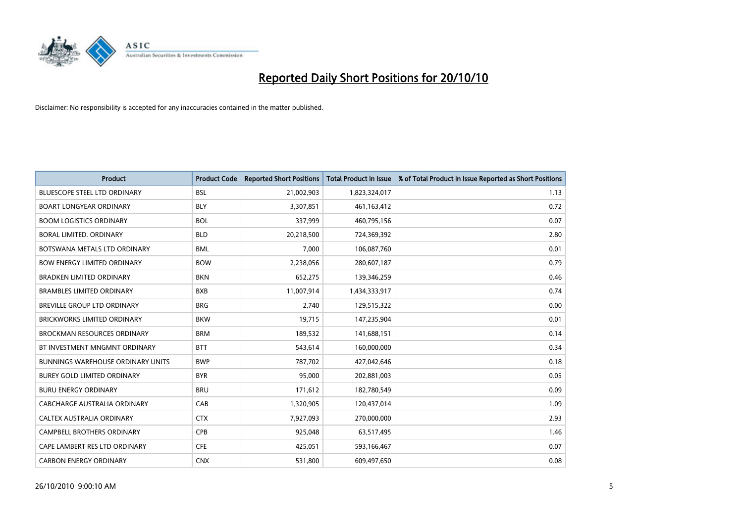

| <b>Product</b>                           | <b>Product Code</b> | <b>Reported Short Positions</b> | <b>Total Product in Issue</b> | % of Total Product in Issue Reported as Short Positions |
|------------------------------------------|---------------------|---------------------------------|-------------------------------|---------------------------------------------------------|
| <b>BLUESCOPE STEEL LTD ORDINARY</b>      | <b>BSL</b>          | 21,002,903                      | 1,823,324,017                 | 1.13                                                    |
| <b>BOART LONGYEAR ORDINARY</b>           | <b>BLY</b>          | 3,307,851                       | 461, 163, 412                 | 0.72                                                    |
| <b>BOOM LOGISTICS ORDINARY</b>           | <b>BOL</b>          | 337,999                         | 460,795,156                   | 0.07                                                    |
| <b>BORAL LIMITED, ORDINARY</b>           | <b>BLD</b>          | 20,218,500                      | 724,369,392                   | 2.80                                                    |
| BOTSWANA METALS LTD ORDINARY             | <b>BML</b>          | 7,000                           | 106,087,760                   | 0.01                                                    |
| <b>BOW ENERGY LIMITED ORDINARY</b>       | <b>BOW</b>          | 2,238,056                       | 280,607,187                   | 0.79                                                    |
| <b>BRADKEN LIMITED ORDINARY</b>          | <b>BKN</b>          | 652,275                         | 139,346,259                   | 0.46                                                    |
| <b>BRAMBLES LIMITED ORDINARY</b>         | <b>BXB</b>          | 11,007,914                      | 1,434,333,917                 | 0.74                                                    |
| <b>BREVILLE GROUP LTD ORDINARY</b>       | <b>BRG</b>          | 2,740                           | 129,515,322                   | 0.00                                                    |
| <b>BRICKWORKS LIMITED ORDINARY</b>       | <b>BKW</b>          | 19,715                          | 147,235,904                   | 0.01                                                    |
| <b>BROCKMAN RESOURCES ORDINARY</b>       | <b>BRM</b>          | 189,532                         | 141,688,151                   | 0.14                                                    |
| BT INVESTMENT MNGMNT ORDINARY            | <b>BTT</b>          | 543,614                         | 160,000,000                   | 0.34                                                    |
| <b>BUNNINGS WAREHOUSE ORDINARY UNITS</b> | <b>BWP</b>          | 787,702                         | 427,042,646                   | 0.18                                                    |
| <b>BUREY GOLD LIMITED ORDINARY</b>       | <b>BYR</b>          | 95,000                          | 202,881,003                   | 0.05                                                    |
| <b>BURU ENERGY ORDINARY</b>              | <b>BRU</b>          | 171,612                         | 182,780,549                   | 0.09                                                    |
| CABCHARGE AUSTRALIA ORDINARY             | CAB                 | 1,320,905                       | 120,437,014                   | 1.09                                                    |
| CALTEX AUSTRALIA ORDINARY                | <b>CTX</b>          | 7,927,093                       | 270,000,000                   | 2.93                                                    |
| CAMPBELL BROTHERS ORDINARY               | <b>CPB</b>          | 925,048                         | 63,517,495                    | 1.46                                                    |
| CAPE LAMBERT RES LTD ORDINARY            | <b>CFE</b>          | 425,051                         | 593,166,467                   | 0.07                                                    |
| <b>CARBON ENERGY ORDINARY</b>            | <b>CNX</b>          | 531,800                         | 609,497,650                   | 0.08                                                    |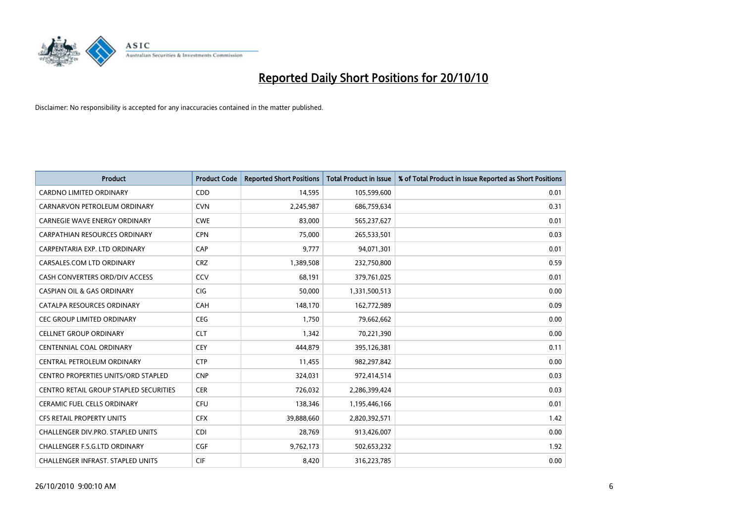

| <b>Product</b>                                | <b>Product Code</b> | <b>Reported Short Positions</b> | <b>Total Product in Issue</b> | % of Total Product in Issue Reported as Short Positions |
|-----------------------------------------------|---------------------|---------------------------------|-------------------------------|---------------------------------------------------------|
| <b>CARDNO LIMITED ORDINARY</b>                | CDD                 | 14,595                          | 105,599,600                   | 0.01                                                    |
| CARNARVON PETROLEUM ORDINARY                  | <b>CVN</b>          | 2,245,987                       | 686,759,634                   | 0.31                                                    |
| CARNEGIE WAVE ENERGY ORDINARY                 | <b>CWE</b>          | 83.000                          | 565,237,627                   | 0.01                                                    |
| CARPATHIAN RESOURCES ORDINARY                 | <b>CPN</b>          | 75,000                          | 265,533,501                   | 0.03                                                    |
| CARPENTARIA EXP. LTD ORDINARY                 | CAP                 | 9,777                           | 94,071,301                    | 0.01                                                    |
| CARSALES.COM LTD ORDINARY                     | <b>CRZ</b>          | 1,389,508                       | 232,750,800                   | 0.59                                                    |
| CASH CONVERTERS ORD/DIV ACCESS                | CCV                 | 68,191                          | 379,761,025                   | 0.01                                                    |
| <b>CASPIAN OIL &amp; GAS ORDINARY</b>         | <b>CIG</b>          | 50.000                          | 1,331,500,513                 | 0.00                                                    |
| CATALPA RESOURCES ORDINARY                    | CAH                 | 148,170                         | 162,772,989                   | 0.09                                                    |
| <b>CEC GROUP LIMITED ORDINARY</b>             | <b>CEG</b>          | 1,750                           | 79,662,662                    | 0.00                                                    |
| <b>CELLNET GROUP ORDINARY</b>                 | <b>CLT</b>          | 1,342                           | 70,221,390                    | 0.00                                                    |
| CENTENNIAL COAL ORDINARY                      | <b>CEY</b>          | 444,879                         | 395,126,381                   | 0.11                                                    |
| CENTRAL PETROLEUM ORDINARY                    | <b>CTP</b>          | 11,455                          | 982,297,842                   | 0.00                                                    |
| <b>CENTRO PROPERTIES UNITS/ORD STAPLED</b>    | <b>CNP</b>          | 324,031                         | 972,414,514                   | 0.03                                                    |
| <b>CENTRO RETAIL GROUP STAPLED SECURITIES</b> | <b>CER</b>          | 726,032                         | 2,286,399,424                 | 0.03                                                    |
| <b>CERAMIC FUEL CELLS ORDINARY</b>            | CFU                 | 138,346                         | 1,195,446,166                 | 0.01                                                    |
| CFS RETAIL PROPERTY UNITS                     | <b>CFX</b>          | 39,888,660                      | 2,820,392,571                 | 1.42                                                    |
| <b>CHALLENGER DIV.PRO. STAPLED UNITS</b>      | <b>CDI</b>          | 28,769                          | 913,426,007                   | 0.00                                                    |
| CHALLENGER F.S.G.LTD ORDINARY                 | CGF                 | 9,762,173                       | 502,653,232                   | 1.92                                                    |
| CHALLENGER INFRAST. STAPLED UNITS             | <b>CIF</b>          | 8,420                           | 316,223,785                   | 0.00                                                    |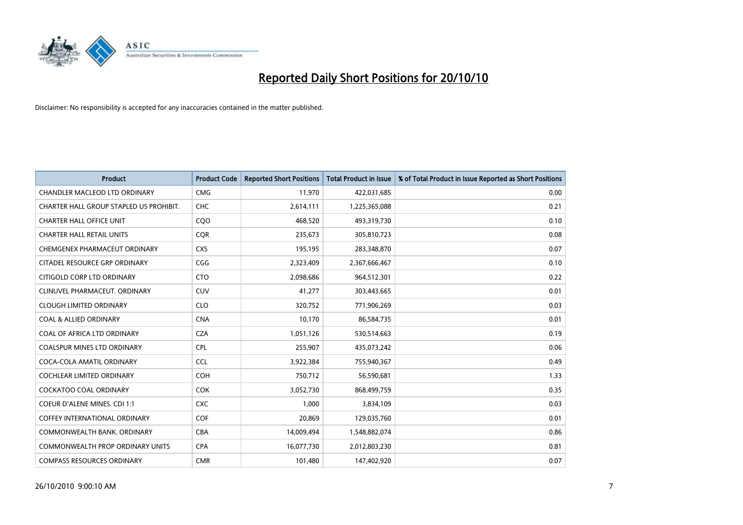

| <b>Product</b>                          | <b>Product Code</b> | <b>Reported Short Positions</b> | <b>Total Product in Issue</b> | % of Total Product in Issue Reported as Short Positions |
|-----------------------------------------|---------------------|---------------------------------|-------------------------------|---------------------------------------------------------|
| <b>CHANDLER MACLEOD LTD ORDINARY</b>    | <b>CMG</b>          | 11,970                          | 422,031,685                   | 0.00                                                    |
| CHARTER HALL GROUP STAPLED US PROHIBIT. | <b>CHC</b>          | 2,614,111                       | 1,225,365,088                 | 0.21                                                    |
| <b>CHARTER HALL OFFICE UNIT</b>         | COO                 | 468,520                         | 493,319,730                   | 0.10                                                    |
| <b>CHARTER HALL RETAIL UNITS</b>        | <b>CQR</b>          | 235,673                         | 305,810,723                   | 0.08                                                    |
| CHEMGENEX PHARMACEUT ORDINARY           | <b>CXS</b>          | 195,195                         | 283,348,870                   | 0.07                                                    |
| CITADEL RESOURCE GRP ORDINARY           | CGG                 | 2,323,409                       | 2,367,666,467                 | 0.10                                                    |
| CITIGOLD CORP LTD ORDINARY              | <b>CTO</b>          | 2,098,686                       | 964,512,301                   | 0.22                                                    |
| CLINUVEL PHARMACEUT, ORDINARY           | <b>CUV</b>          | 41,277                          | 303,443,665                   | 0.01                                                    |
| <b>CLOUGH LIMITED ORDINARY</b>          | <b>CLO</b>          | 320,752                         | 771,906,269                   | 0.03                                                    |
| <b>COAL &amp; ALLIED ORDINARY</b>       | <b>CNA</b>          | 10,170                          | 86,584,735                    | 0.01                                                    |
| COAL OF AFRICA LTD ORDINARY             | <b>CZA</b>          | 1,051,126                       | 530,514,663                   | 0.19                                                    |
| <b>COALSPUR MINES LTD ORDINARY</b>      | <b>CPL</b>          | 255,907                         | 435,073,242                   | 0.06                                                    |
| COCA-COLA AMATIL ORDINARY               | <b>CCL</b>          | 3,922,384                       | 755,940,367                   | 0.49                                                    |
| COCHLEAR LIMITED ORDINARY               | COH                 | 750,712                         | 56,590,681                    | 1.33                                                    |
| <b>COCKATOO COAL ORDINARY</b>           | <b>COK</b>          | 3,052,730                       | 868,499,759                   | 0.35                                                    |
| <b>COEUR D'ALENE MINES. CDI 1:1</b>     | <b>CXC</b>          | 1,000                           | 3,834,109                     | 0.03                                                    |
| COFFEY INTERNATIONAL ORDINARY           | <b>COF</b>          | 20,869                          | 129,035,760                   | 0.01                                                    |
| COMMONWEALTH BANK, ORDINARY             | <b>CBA</b>          | 14,009,494                      | 1,548,882,074                 | 0.86                                                    |
| <b>COMMONWEALTH PROP ORDINARY UNITS</b> | <b>CPA</b>          | 16,077,730                      | 2,012,803,230                 | 0.81                                                    |
| <b>COMPASS RESOURCES ORDINARY</b>       | <b>CMR</b>          | 101,480                         | 147,402,920                   | 0.07                                                    |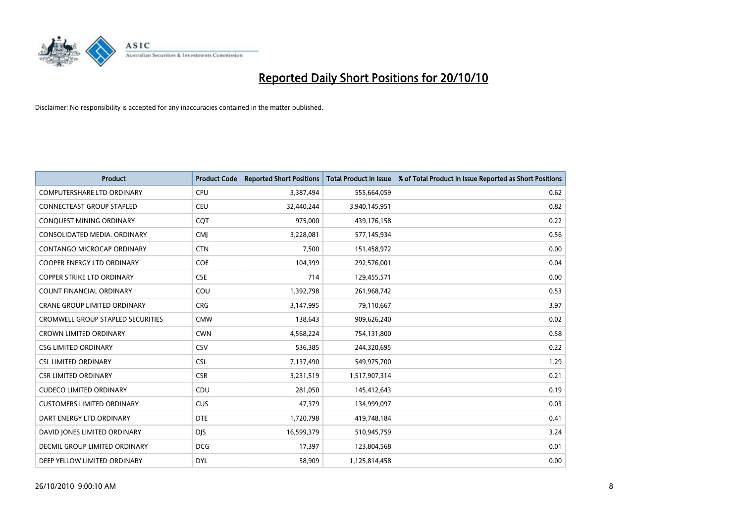

| <b>Product</b>                           | <b>Product Code</b> | <b>Reported Short Positions</b> | Total Product in Issue | % of Total Product in Issue Reported as Short Positions |
|------------------------------------------|---------------------|---------------------------------|------------------------|---------------------------------------------------------|
| <b>COMPUTERSHARE LTD ORDINARY</b>        | <b>CPU</b>          | 3,387,494                       | 555,664,059            | 0.62                                                    |
| <b>CONNECTEAST GROUP STAPLED</b>         | <b>CEU</b>          | 32,440,244                      | 3,940,145,951          | 0.82                                                    |
| CONQUEST MINING ORDINARY                 | CQT                 | 975,000                         | 439,176,158            | 0.22                                                    |
| CONSOLIDATED MEDIA. ORDINARY             | <b>CMI</b>          | 3,228,081                       | 577,145,934            | 0.56                                                    |
| <b>CONTANGO MICROCAP ORDINARY</b>        | <b>CTN</b>          | 7,500                           | 151,458,972            | 0.00                                                    |
| <b>COOPER ENERGY LTD ORDINARY</b>        | <b>COE</b>          | 104,399                         | 292,576,001            | 0.04                                                    |
| <b>COPPER STRIKE LTD ORDINARY</b>        | <b>CSE</b>          | 714                             | 129,455,571            | 0.00                                                    |
| <b>COUNT FINANCIAL ORDINARY</b>          | COU                 | 1,392,798                       | 261,968,742            | 0.53                                                    |
| CRANE GROUP LIMITED ORDINARY             | <b>CRG</b>          | 3,147,995                       | 79,110,667             | 3.97                                                    |
| <b>CROMWELL GROUP STAPLED SECURITIES</b> | <b>CMW</b>          | 138.643                         | 909,626,240            | 0.02                                                    |
| <b>CROWN LIMITED ORDINARY</b>            | <b>CWN</b>          | 4,568,224                       | 754,131,800            | 0.58                                                    |
| <b>CSG LIMITED ORDINARY</b>              | CSV                 | 536,385                         | 244,320,695            | 0.22                                                    |
| <b>CSL LIMITED ORDINARY</b>              | <b>CSL</b>          | 7,137,490                       | 549,975,700            | 1.29                                                    |
| <b>CSR LIMITED ORDINARY</b>              | <b>CSR</b>          | 3,231,519                       | 1,517,907,314          | 0.21                                                    |
| <b>CUDECO LIMITED ORDINARY</b>           | CDU                 | 281,050                         | 145,412,643            | 0.19                                                    |
| <b>CUSTOMERS LIMITED ORDINARY</b>        | <b>CUS</b>          | 47,379                          | 134,999,097            | 0.03                                                    |
| DART ENERGY LTD ORDINARY                 | <b>DTE</b>          | 1,720,798                       | 419,748,184            | 0.41                                                    |
| DAVID JONES LIMITED ORDINARY             | <b>DJS</b>          | 16,599,379                      | 510,945,759            | 3.24                                                    |
| DECMIL GROUP LIMITED ORDINARY            | <b>DCG</b>          | 17,397                          | 123,804,568            | 0.01                                                    |
| DEEP YELLOW LIMITED ORDINARY             | <b>DYL</b>          | 58,909                          | 1,125,814,458          | 0.00                                                    |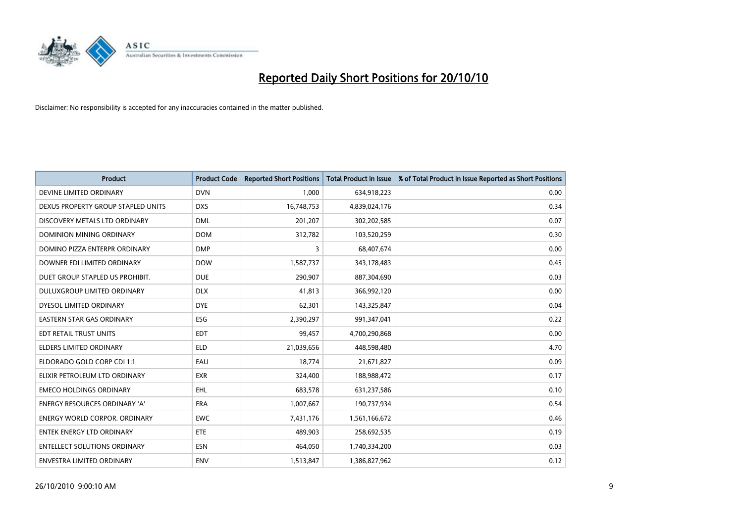

| <b>Product</b>                       | <b>Product Code</b> | <b>Reported Short Positions</b> | <b>Total Product in Issue</b> | % of Total Product in Issue Reported as Short Positions |
|--------------------------------------|---------------------|---------------------------------|-------------------------------|---------------------------------------------------------|
| DEVINE LIMITED ORDINARY              | <b>DVN</b>          | 1,000                           | 634,918,223                   | 0.00                                                    |
| DEXUS PROPERTY GROUP STAPLED UNITS   | <b>DXS</b>          | 16,748,753                      | 4,839,024,176                 | 0.34                                                    |
| DISCOVERY METALS LTD ORDINARY        | <b>DML</b>          | 201,207                         | 302,202,585                   | 0.07                                                    |
| DOMINION MINING ORDINARY             | <b>DOM</b>          | 312,782                         | 103,520,259                   | 0.30                                                    |
| DOMINO PIZZA ENTERPR ORDINARY        | <b>DMP</b>          | 3                               | 68,407,674                    | 0.00                                                    |
| DOWNER EDI LIMITED ORDINARY          | <b>DOW</b>          | 1,587,737                       | 343,178,483                   | 0.45                                                    |
| DUET GROUP STAPLED US PROHIBIT.      | <b>DUE</b>          | 290.907                         | 887,304,690                   | 0.03                                                    |
| DULUXGROUP LIMITED ORDINARY          | <b>DLX</b>          | 41,813                          | 366,992,120                   | 0.00                                                    |
| DYESOL LIMITED ORDINARY              | <b>DYE</b>          | 62,301                          | 143,325,847                   | 0.04                                                    |
| <b>EASTERN STAR GAS ORDINARY</b>     | <b>ESG</b>          | 2,390,297                       | 991,347,041                   | 0.22                                                    |
| EDT RETAIL TRUST UNITS               | <b>EDT</b>          | 99,457                          | 4,700,290,868                 | 0.00                                                    |
| <b>ELDERS LIMITED ORDINARY</b>       | <b>ELD</b>          | 21,039,656                      | 448,598,480                   | 4.70                                                    |
| ELDORADO GOLD CORP CDI 1:1           | EAU                 | 18.774                          | 21,671,827                    | 0.09                                                    |
| ELIXIR PETROLEUM LTD ORDINARY        | <b>EXR</b>          | 324,400                         | 188,988,472                   | 0.17                                                    |
| <b>EMECO HOLDINGS ORDINARY</b>       | <b>EHL</b>          | 683,578                         | 631,237,586                   | 0.10                                                    |
| <b>ENERGY RESOURCES ORDINARY 'A'</b> | <b>ERA</b>          | 1,007,667                       | 190,737,934                   | 0.54                                                    |
| <b>ENERGY WORLD CORPOR, ORDINARY</b> | <b>EWC</b>          | 7,431,176                       | 1,561,166,672                 | 0.46                                                    |
| <b>ENTEK ENERGY LTD ORDINARY</b>     | <b>ETE</b>          | 489,903                         | 258,692,535                   | 0.19                                                    |
| <b>ENTELLECT SOLUTIONS ORDINARY</b>  | <b>ESN</b>          | 464,050                         | 1,740,334,200                 | 0.03                                                    |
| ENVESTRA LIMITED ORDINARY            | <b>ENV</b>          | 1,513,847                       | 1,386,827,962                 | 0.12                                                    |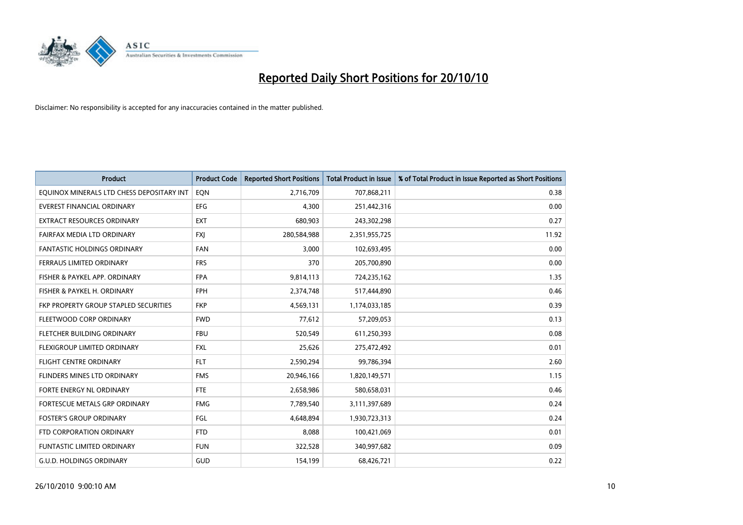

| <b>Product</b>                            | <b>Product Code</b> | <b>Reported Short Positions</b> | <b>Total Product in Issue</b> | % of Total Product in Issue Reported as Short Positions |
|-------------------------------------------|---------------------|---------------------------------|-------------------------------|---------------------------------------------------------|
| EQUINOX MINERALS LTD CHESS DEPOSITARY INT | EON                 | 2,716,709                       | 707,868,211                   | 0.38                                                    |
| EVEREST FINANCIAL ORDINARY                | <b>EFG</b>          | 4,300                           | 251,442,316                   | 0.00                                                    |
| <b>EXTRACT RESOURCES ORDINARY</b>         | <b>EXT</b>          | 680,903                         | 243,302,298                   | 0.27                                                    |
| FAIRFAX MEDIA LTD ORDINARY                | <b>FXI</b>          | 280,584,988                     | 2,351,955,725                 | 11.92                                                   |
| <b>FANTASTIC HOLDINGS ORDINARY</b>        | <b>FAN</b>          | 3,000                           | 102,693,495                   | 0.00                                                    |
| FERRAUS LIMITED ORDINARY                  | <b>FRS</b>          | 370                             | 205,700,890                   | 0.00                                                    |
| FISHER & PAYKEL APP. ORDINARY             | <b>FPA</b>          | 9,814,113                       | 724,235,162                   | 1.35                                                    |
| FISHER & PAYKEL H. ORDINARY               | <b>FPH</b>          | 2,374,748                       | 517,444,890                   | 0.46                                                    |
| FKP PROPERTY GROUP STAPLED SECURITIES     | <b>FKP</b>          | 4,569,131                       | 1,174,033,185                 | 0.39                                                    |
| FLEETWOOD CORP ORDINARY                   | <b>FWD</b>          | 77,612                          | 57,209,053                    | 0.13                                                    |
| <b>FLETCHER BUILDING ORDINARY</b>         | <b>FBU</b>          | 520,549                         | 611,250,393                   | 0.08                                                    |
| FLEXIGROUP LIMITED ORDINARY               | <b>FXL</b>          | 25,626                          | 275,472,492                   | 0.01                                                    |
| <b>FLIGHT CENTRE ORDINARY</b>             | <b>FLT</b>          | 2,590,294                       | 99,786,394                    | 2.60                                                    |
| FLINDERS MINES LTD ORDINARY               | <b>FMS</b>          | 20,946,166                      | 1,820,149,571                 | 1.15                                                    |
| FORTE ENERGY NL ORDINARY                  | <b>FTE</b>          | 2,658,986                       | 580,658,031                   | 0.46                                                    |
| FORTESCUE METALS GRP ORDINARY             | <b>FMG</b>          | 7,789,540                       | 3,111,397,689                 | 0.24                                                    |
| <b>FOSTER'S GROUP ORDINARY</b>            | FGL                 | 4,648,894                       | 1,930,723,313                 | 0.24                                                    |
| FTD CORPORATION ORDINARY                  | <b>FTD</b>          | 8,088                           | 100,421,069                   | 0.01                                                    |
| FUNTASTIC LIMITED ORDINARY                | <b>FUN</b>          | 322,528                         | 340,997,682                   | 0.09                                                    |
| G.U.D. HOLDINGS ORDINARY                  | GUD                 | 154,199                         | 68,426,721                    | 0.22                                                    |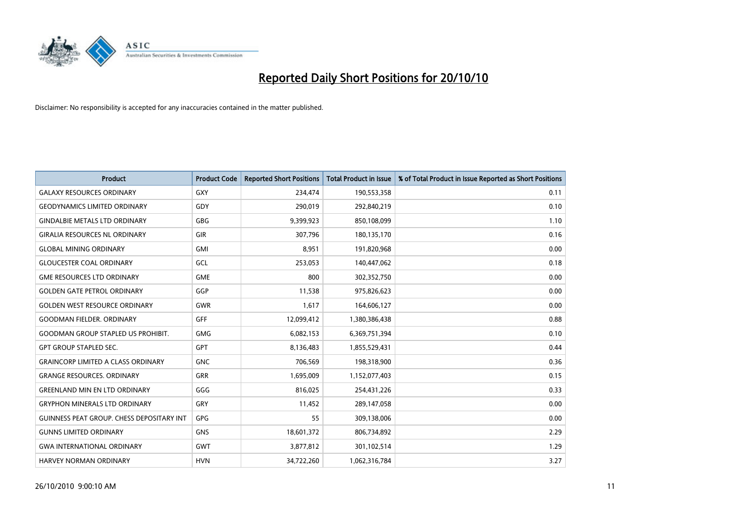

| <b>Product</b>                                   | <b>Product Code</b> | <b>Reported Short Positions</b> | Total Product in Issue | % of Total Product in Issue Reported as Short Positions |
|--------------------------------------------------|---------------------|---------------------------------|------------------------|---------------------------------------------------------|
| <b>GALAXY RESOURCES ORDINARY</b>                 | <b>GXY</b>          | 234,474                         | 190,553,358            | 0.11                                                    |
| <b>GEODYNAMICS LIMITED ORDINARY</b>              | GDY                 | 290,019                         | 292,840,219            | 0.10                                                    |
| <b>GINDALBIE METALS LTD ORDINARY</b>             | <b>GBG</b>          | 9,399,923                       | 850,108,099            | 1.10                                                    |
| <b>GIRALIA RESOURCES NL ORDINARY</b>             | <b>GIR</b>          | 307,796                         | 180,135,170            | 0.16                                                    |
| <b>GLOBAL MINING ORDINARY</b>                    | <b>GMI</b>          | 8,951                           | 191,820,968            | 0.00                                                    |
| <b>GLOUCESTER COAL ORDINARY</b>                  | <b>GCL</b>          | 253,053                         | 140,447,062            | 0.18                                                    |
| <b>GME RESOURCES LTD ORDINARY</b>                | <b>GME</b>          | 800                             | 302,352,750            | 0.00                                                    |
| <b>GOLDEN GATE PETROL ORDINARY</b>               | GGP                 | 11,538                          | 975,826,623            | 0.00                                                    |
| <b>GOLDEN WEST RESOURCE ORDINARY</b>             | <b>GWR</b>          | 1,617                           | 164,606,127            | 0.00                                                    |
| <b>GOODMAN FIELDER, ORDINARY</b>                 | <b>GFF</b>          | 12,099,412                      | 1,380,386,438          | 0.88                                                    |
| <b>GOODMAN GROUP STAPLED US PROHIBIT.</b>        | <b>GMG</b>          | 6,082,153                       | 6,369,751,394          | 0.10                                                    |
| <b>GPT GROUP STAPLED SEC.</b>                    | <b>GPT</b>          | 8,136,483                       | 1,855,529,431          | 0.44                                                    |
| <b>GRAINCORP LIMITED A CLASS ORDINARY</b>        | <b>GNC</b>          | 706,569                         | 198,318,900            | 0.36                                                    |
| <b>GRANGE RESOURCES, ORDINARY</b>                | <b>GRR</b>          | 1,695,009                       | 1,152,077,403          | 0.15                                                    |
| <b>GREENLAND MIN EN LTD ORDINARY</b>             | GGG                 | 816,025                         | 254,431,226            | 0.33                                                    |
| <b>GRYPHON MINERALS LTD ORDINARY</b>             | GRY                 | 11,452                          | 289,147,058            | 0.00                                                    |
| <b>GUINNESS PEAT GROUP. CHESS DEPOSITARY INT</b> | GPG                 | 55                              | 309,138,006            | 0.00                                                    |
| <b>GUNNS LIMITED ORDINARY</b>                    | <b>GNS</b>          | 18,601,372                      | 806,734,892            | 2.29                                                    |
| <b>GWA INTERNATIONAL ORDINARY</b>                | <b>GWT</b>          | 3,877,812                       | 301,102,514            | 1.29                                                    |
| <b>HARVEY NORMAN ORDINARY</b>                    | <b>HVN</b>          | 34,722,260                      | 1,062,316,784          | 3.27                                                    |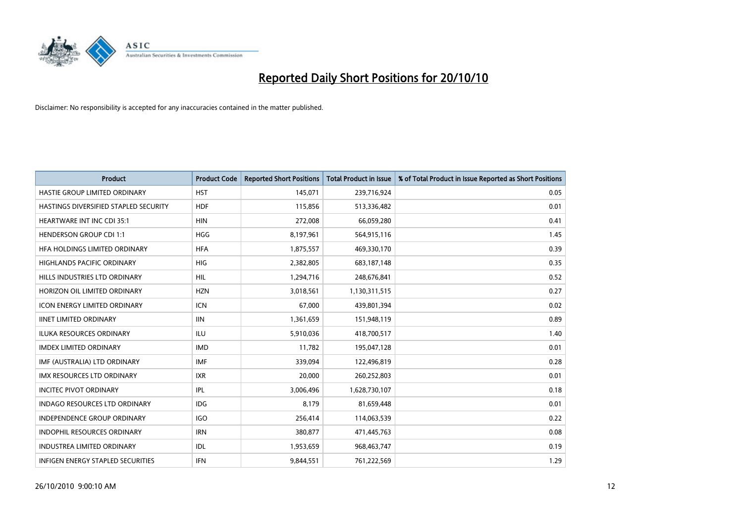

| <b>Product</b>                        | <b>Product Code</b> | <b>Reported Short Positions</b> | <b>Total Product in Issue</b> | % of Total Product in Issue Reported as Short Positions |
|---------------------------------------|---------------------|---------------------------------|-------------------------------|---------------------------------------------------------|
| HASTIE GROUP LIMITED ORDINARY         | <b>HST</b>          | 145,071                         | 239,716,924                   | 0.05                                                    |
| HASTINGS DIVERSIFIED STAPLED SECURITY | <b>HDF</b>          | 115,856                         | 513,336,482                   | 0.01                                                    |
| <b>HEARTWARE INT INC CDI 35:1</b>     | <b>HIN</b>          | 272,008                         | 66,059,280                    | 0.41                                                    |
| <b>HENDERSON GROUP CDI 1:1</b>        | <b>HGG</b>          | 8,197,961                       | 564,915,116                   | 1.45                                                    |
| HFA HOLDINGS LIMITED ORDINARY         | <b>HFA</b>          | 1,875,557                       | 469,330,170                   | 0.39                                                    |
| <b>HIGHLANDS PACIFIC ORDINARY</b>     | <b>HIG</b>          | 2,382,805                       | 683,187,148                   | 0.35                                                    |
| HILLS INDUSTRIES LTD ORDINARY         | <b>HIL</b>          | 1,294,716                       | 248,676,841                   | 0.52                                                    |
| HORIZON OIL LIMITED ORDINARY          | <b>HZN</b>          | 3,018,561                       | 1,130,311,515                 | 0.27                                                    |
| ICON ENERGY LIMITED ORDINARY          | <b>ICN</b>          | 67,000                          | 439,801,394                   | 0.02                                                    |
| <b>IINET LIMITED ORDINARY</b>         | <b>IIN</b>          | 1,361,659                       | 151,948,119                   | 0.89                                                    |
| <b>ILUKA RESOURCES ORDINARY</b>       | <b>ILU</b>          | 5,910,036                       | 418,700,517                   | 1.40                                                    |
| <b>IMDEX LIMITED ORDINARY</b>         | <b>IMD</b>          | 11,782                          | 195,047,128                   | 0.01                                                    |
| IMF (AUSTRALIA) LTD ORDINARY          | <b>IMF</b>          | 339.094                         | 122,496,819                   | 0.28                                                    |
| <b>IMX RESOURCES LTD ORDINARY</b>     | <b>IXR</b>          | 20,000                          | 260,252,803                   | 0.01                                                    |
| <b>INCITEC PIVOT ORDINARY</b>         | <b>IPL</b>          | 3,006,496                       | 1,628,730,107                 | 0.18                                                    |
| <b>INDAGO RESOURCES LTD ORDINARY</b>  | <b>IDG</b>          | 8,179                           | 81,659,448                    | 0.01                                                    |
| <b>INDEPENDENCE GROUP ORDINARY</b>    | <b>IGO</b>          | 256,414                         | 114,063,539                   | 0.22                                                    |
| INDOPHIL RESOURCES ORDINARY           | <b>IRN</b>          | 380,877                         | 471,445,763                   | 0.08                                                    |
| <b>INDUSTREA LIMITED ORDINARY</b>     | IDL                 | 1,953,659                       | 968,463,747                   | 0.19                                                    |
| INFIGEN ENERGY STAPLED SECURITIES     | <b>IFN</b>          | 9,844,551                       | 761,222,569                   | 1.29                                                    |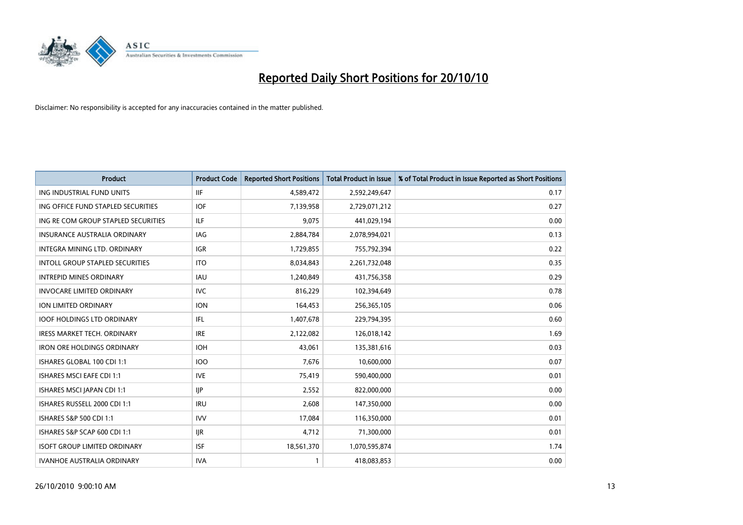

| <b>Product</b>                         | <b>Product Code</b> | <b>Reported Short Positions</b> | <b>Total Product in Issue</b> | % of Total Product in Issue Reported as Short Positions |
|----------------------------------------|---------------------|---------------------------------|-------------------------------|---------------------------------------------------------|
| ING INDUSTRIAL FUND UNITS              | <b>IIF</b>          | 4,589,472                       | 2,592,249,647                 | 0.17                                                    |
| ING OFFICE FUND STAPLED SECURITIES     | <b>IOF</b>          | 7,139,958                       | 2,729,071,212                 | 0.27                                                    |
| ING RE COM GROUP STAPLED SECURITIES    | <b>ILF</b>          | 9,075                           | 441,029,194                   | 0.00                                                    |
| INSURANCE AUSTRALIA ORDINARY           | IAG                 | 2,884,784                       | 2,078,994,021                 | 0.13                                                    |
| <b>INTEGRA MINING LTD, ORDINARY</b>    | <b>IGR</b>          | 1,729,855                       | 755,792,394                   | 0.22                                                    |
| <b>INTOLL GROUP STAPLED SECURITIES</b> | <b>ITO</b>          | 8,034,843                       | 2,261,732,048                 | 0.35                                                    |
| <b>INTREPID MINES ORDINARY</b>         | <b>IAU</b>          | 1,240,849                       | 431,756,358                   | 0.29                                                    |
| <b>INVOCARE LIMITED ORDINARY</b>       | <b>IVC</b>          | 816,229                         | 102,394,649                   | 0.78                                                    |
| ION LIMITED ORDINARY                   | <b>ION</b>          | 164,453                         | 256,365,105                   | 0.06                                                    |
| <b>IOOF HOLDINGS LTD ORDINARY</b>      | IFL.                | 1,407,678                       | 229,794,395                   | 0.60                                                    |
| <b>IRESS MARKET TECH. ORDINARY</b>     | <b>IRE</b>          | 2,122,082                       | 126,018,142                   | 1.69                                                    |
| <b>IRON ORE HOLDINGS ORDINARY</b>      | <b>IOH</b>          | 43,061                          | 135,381,616                   | 0.03                                                    |
| ISHARES GLOBAL 100 CDI 1:1             | <b>IOO</b>          | 7,676                           | 10,600,000                    | 0.07                                                    |
| <b>ISHARES MSCI EAFE CDI 1:1</b>       | <b>IVE</b>          | 75,419                          | 590,400,000                   | 0.01                                                    |
| ISHARES MSCI JAPAN CDI 1:1             | <b>IIP</b>          | 2,552                           | 822,000,000                   | 0.00                                                    |
| ISHARES RUSSELL 2000 CDI 1:1           | <b>IRU</b>          | 2.608                           | 147,350,000                   | 0.00                                                    |
| ISHARES S&P 500 CDI 1:1                | <b>IVV</b>          | 17,084                          | 116,350,000                   | 0.01                                                    |
| ISHARES S&P SCAP 600 CDI 1:1           | <b>IJR</b>          | 4,712                           | 71,300,000                    | 0.01                                                    |
| <b>ISOFT GROUP LIMITED ORDINARY</b>    | <b>ISF</b>          | 18,561,370                      | 1,070,595,874                 | 1.74                                                    |
| IVANHOE AUSTRALIA ORDINARY             | <b>IVA</b>          |                                 | 418,083,853                   | 0.00                                                    |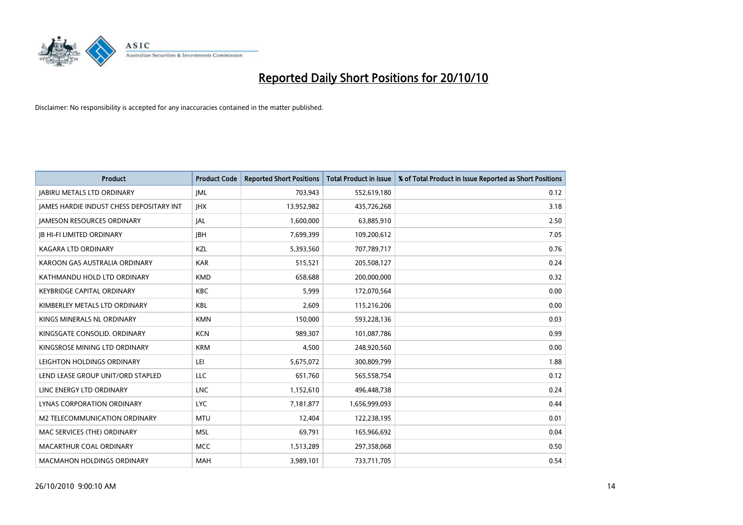

| <b>Product</b>                                  | <b>Product Code</b> | <b>Reported Short Positions</b> | <b>Total Product in Issue</b> | % of Total Product in Issue Reported as Short Positions |
|-------------------------------------------------|---------------------|---------------------------------|-------------------------------|---------------------------------------------------------|
| <b>JABIRU METALS LTD ORDINARY</b>               | <b>JML</b>          | 703,943                         | 552,619,180                   | 0.12                                                    |
| <b>JAMES HARDIE INDUST CHESS DEPOSITARY INT</b> | <b>IHX</b>          | 13,952,982                      | 435,726,268                   | 3.18                                                    |
| <b>JAMESON RESOURCES ORDINARY</b>               | JAL                 | 1,600,000                       | 63,885,910                    | 2.50                                                    |
| <b>JB HI-FI LIMITED ORDINARY</b>                | <b>IBH</b>          | 7,699,399                       | 109,200,612                   | 7.05                                                    |
| <b>KAGARA LTD ORDINARY</b>                      | KZL                 | 5,393,560                       | 707,789,717                   | 0.76                                                    |
| KAROON GAS AUSTRALIA ORDINARY                   | <b>KAR</b>          | 515,521                         | 205,508,127                   | 0.24                                                    |
| KATHMANDU HOLD LTD ORDINARY                     | <b>KMD</b>          | 658.688                         | 200,000,000                   | 0.32                                                    |
| <b>KEYBRIDGE CAPITAL ORDINARY</b>               | <b>KBC</b>          | 5,999                           | 172,070,564                   | 0.00                                                    |
| KIMBERLEY METALS LTD ORDINARY                   | <b>KBL</b>          | 2,609                           | 115,216,206                   | 0.00                                                    |
| KINGS MINERALS NL ORDINARY                      | <b>KMN</b>          | 150,000                         | 593,228,136                   | 0.03                                                    |
| KINGSGATE CONSOLID. ORDINARY                    | <b>KCN</b>          | 989,307                         | 101,087,786                   | 0.99                                                    |
| KINGSROSE MINING LTD ORDINARY                   | <b>KRM</b>          | 4,500                           | 248,920,560                   | 0.00                                                    |
| LEIGHTON HOLDINGS ORDINARY                      | LEI                 | 5,675,072                       | 300,809,799                   | 1.88                                                    |
| LEND LEASE GROUP UNIT/ORD STAPLED               | LLC                 | 651,760                         | 565,558,754                   | 0.12                                                    |
| LINC ENERGY LTD ORDINARY                        | <b>LNC</b>          | 1,152,610                       | 496,448,738                   | 0.24                                                    |
| LYNAS CORPORATION ORDINARY                      | <b>LYC</b>          | 7,181,877                       | 1,656,999,093                 | 0.44                                                    |
| M2 TELECOMMUNICATION ORDINARY                   | <b>MTU</b>          | 12,404                          | 122,238,195                   | 0.01                                                    |
| MAC SERVICES (THE) ORDINARY                     | <b>MSL</b>          | 69,791                          | 165,966,692                   | 0.04                                                    |
| MACARTHUR COAL ORDINARY                         | <b>MCC</b>          | 1,513,289                       | 297,358,068                   | 0.50                                                    |
| <b>MACMAHON HOLDINGS ORDINARY</b>               | <b>MAH</b>          | 3,989,101                       | 733,711,705                   | 0.54                                                    |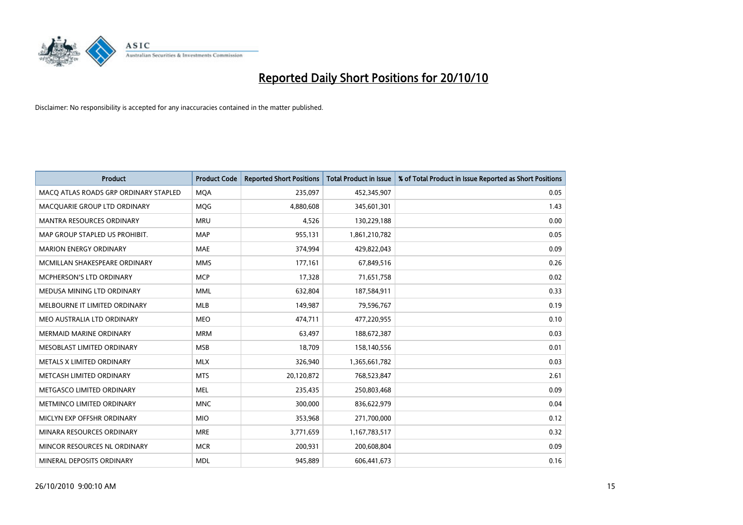

| <b>Product</b>                        | <b>Product Code</b> | <b>Reported Short Positions</b> | <b>Total Product in Issue</b> | % of Total Product in Issue Reported as Short Positions |
|---------------------------------------|---------------------|---------------------------------|-------------------------------|---------------------------------------------------------|
| MACQ ATLAS ROADS GRP ORDINARY STAPLED | <b>MQA</b>          | 235,097                         | 452,345,907                   | 0.05                                                    |
| MACQUARIE GROUP LTD ORDINARY          | <b>MOG</b>          | 4,880,608                       | 345,601,301                   | 1.43                                                    |
| <b>MANTRA RESOURCES ORDINARY</b>      | <b>MRU</b>          | 4,526                           | 130,229,188                   | 0.00                                                    |
| MAP GROUP STAPLED US PROHIBIT.        | <b>MAP</b>          | 955,131                         | 1,861,210,782                 | 0.05                                                    |
| <b>MARION ENERGY ORDINARY</b>         | <b>MAE</b>          | 374,994                         | 429,822,043                   | 0.09                                                    |
| MCMILLAN SHAKESPEARE ORDINARY         | <b>MMS</b>          | 177,161                         | 67,849,516                    | 0.26                                                    |
| MCPHERSON'S LTD ORDINARY              | <b>MCP</b>          | 17,328                          | 71,651,758                    | 0.02                                                    |
| MEDUSA MINING LTD ORDINARY            | <b>MML</b>          | 632,804                         | 187,584,911                   | 0.33                                                    |
| MELBOURNE IT LIMITED ORDINARY         | <b>MLB</b>          | 149,987                         | 79,596,767                    | 0.19                                                    |
| MEO AUSTRALIA LTD ORDINARY            | <b>MEO</b>          | 474,711                         | 477,220,955                   | 0.10                                                    |
| MERMAID MARINE ORDINARY               | <b>MRM</b>          | 63,497                          | 188,672,387                   | 0.03                                                    |
| MESOBLAST LIMITED ORDINARY            | <b>MSB</b>          | 18,709                          | 158,140,556                   | 0.01                                                    |
| METALS X LIMITED ORDINARY             | <b>MLX</b>          | 326,940                         | 1,365,661,782                 | 0.03                                                    |
| METCASH LIMITED ORDINARY              | <b>MTS</b>          | 20,120,872                      | 768,523,847                   | 2.61                                                    |
| METGASCO LIMITED ORDINARY             | <b>MEL</b>          | 235,435                         | 250,803,468                   | 0.09                                                    |
| METMINCO LIMITED ORDINARY             | <b>MNC</b>          | 300,000                         | 836,622,979                   | 0.04                                                    |
| MICLYN EXP OFFSHR ORDINARY            | <b>MIO</b>          | 353,968                         | 271,700,000                   | 0.12                                                    |
| MINARA RESOURCES ORDINARY             | <b>MRE</b>          | 3,771,659                       | 1,167,783,517                 | 0.32                                                    |
| MINCOR RESOURCES NL ORDINARY          | <b>MCR</b>          | 200,931                         | 200,608,804                   | 0.09                                                    |
| MINERAL DEPOSITS ORDINARY             | <b>MDL</b>          | 945,889                         | 606,441,673                   | 0.16                                                    |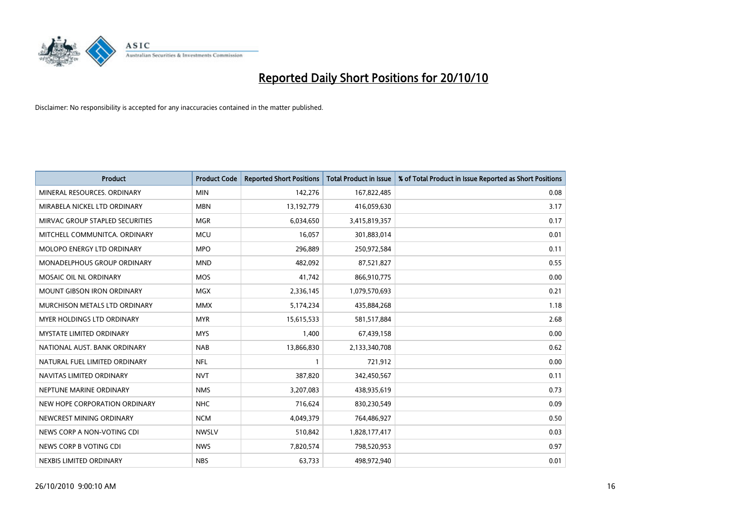

| <b>Product</b>                    | <b>Product Code</b> | <b>Reported Short Positions</b> | <b>Total Product in Issue</b> | % of Total Product in Issue Reported as Short Positions |
|-----------------------------------|---------------------|---------------------------------|-------------------------------|---------------------------------------------------------|
| MINERAL RESOURCES, ORDINARY       | <b>MIN</b>          | 142,276                         | 167,822,485                   | 0.08                                                    |
| MIRABELA NICKEL LTD ORDINARY      | <b>MBN</b>          | 13,192,779                      | 416,059,630                   | 3.17                                                    |
| MIRVAC GROUP STAPLED SECURITIES   | <b>MGR</b>          | 6,034,650                       | 3,415,819,357                 | 0.17                                                    |
| MITCHELL COMMUNITCA. ORDINARY     | <b>MCU</b>          | 16,057                          | 301,883,014                   | 0.01                                                    |
| <b>MOLOPO ENERGY LTD ORDINARY</b> | <b>MPO</b>          | 296,889                         | 250,972,584                   | 0.11                                                    |
| MONADELPHOUS GROUP ORDINARY       | <b>MND</b>          | 482,092                         | 87,521,827                    | 0.55                                                    |
| <b>MOSAIC OIL NL ORDINARY</b>     | <b>MOS</b>          | 41,742                          | 866,910,775                   | 0.00                                                    |
| MOUNT GIBSON IRON ORDINARY        | <b>MGX</b>          | 2,336,145                       | 1,079,570,693                 | 0.21                                                    |
| MURCHISON METALS LTD ORDINARY     | <b>MMX</b>          | 5,174,234                       | 435,884,268                   | 1.18                                                    |
| MYER HOLDINGS LTD ORDINARY        | <b>MYR</b>          | 15,615,533                      | 581,517,884                   | 2.68                                                    |
| MYSTATE LIMITED ORDINARY          | <b>MYS</b>          | 1,400                           | 67,439,158                    | 0.00                                                    |
| NATIONAL AUST. BANK ORDINARY      | <b>NAB</b>          | 13,866,830                      | 2,133,340,708                 | 0.62                                                    |
| NATURAL FUEL LIMITED ORDINARY     | <b>NFL</b>          |                                 | 721,912                       | 0.00                                                    |
| NAVITAS LIMITED ORDINARY          | <b>NVT</b>          | 387,820                         | 342,450,567                   | 0.11                                                    |
| NEPTUNE MARINE ORDINARY           | <b>NMS</b>          | 3,207,083                       | 438,935,619                   | 0.73                                                    |
| NEW HOPE CORPORATION ORDINARY     | <b>NHC</b>          | 716,624                         | 830,230,549                   | 0.09                                                    |
| NEWCREST MINING ORDINARY          | <b>NCM</b>          | 4,049,379                       | 764,486,927                   | 0.50                                                    |
| NEWS CORP A NON-VOTING CDI        | <b>NWSLV</b>        | 510,842                         | 1,828,177,417                 | 0.03                                                    |
| NEWS CORP B VOTING CDI            | <b>NWS</b>          | 7,820,574                       | 798,520,953                   | 0.97                                                    |
| NEXBIS LIMITED ORDINARY           | <b>NBS</b>          | 63,733                          | 498,972,940                   | 0.01                                                    |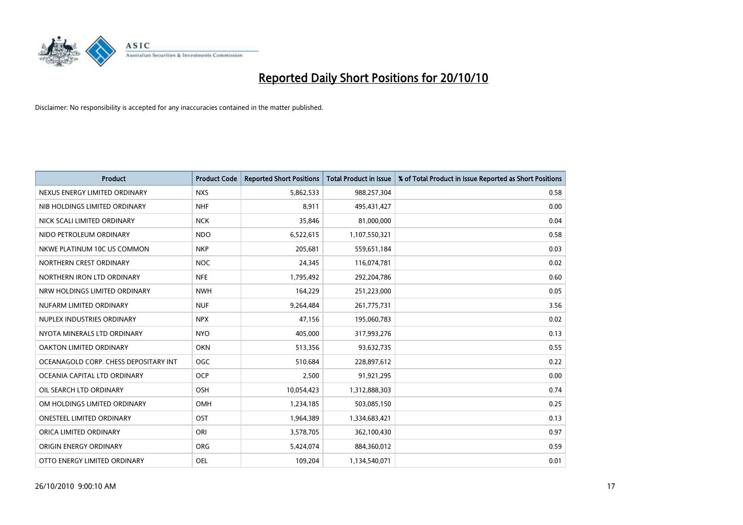

| <b>Product</b>                        | <b>Product Code</b> | <b>Reported Short Positions</b> | <b>Total Product in Issue</b> | % of Total Product in Issue Reported as Short Positions |
|---------------------------------------|---------------------|---------------------------------|-------------------------------|---------------------------------------------------------|
| NEXUS ENERGY LIMITED ORDINARY         | <b>NXS</b>          | 5,862,533                       | 988,257,304                   | 0.58                                                    |
| NIB HOLDINGS LIMITED ORDINARY         | <b>NHF</b>          | 8,911                           | 495,431,427                   | 0.00                                                    |
| NICK SCALI LIMITED ORDINARY           | <b>NCK</b>          | 35,846                          | 81,000,000                    | 0.04                                                    |
| NIDO PETROLEUM ORDINARY               | <b>NDO</b>          | 6,522,615                       | 1,107,550,321                 | 0.58                                                    |
| NKWE PLATINUM 10C US COMMON           | <b>NKP</b>          | 205,681                         | 559,651,184                   | 0.03                                                    |
| NORTHERN CREST ORDINARY               | <b>NOC</b>          | 24,345                          | 116,074,781                   | 0.02                                                    |
| NORTHERN IRON LTD ORDINARY            | <b>NFE</b>          | 1,795,492                       | 292,204,786                   | 0.60                                                    |
| NRW HOLDINGS LIMITED ORDINARY         | <b>NWH</b>          | 164,229                         | 251,223,000                   | 0.05                                                    |
| NUFARM LIMITED ORDINARY               | <b>NUF</b>          | 9,264,484                       | 261,775,731                   | 3.56                                                    |
| NUPLEX INDUSTRIES ORDINARY            | <b>NPX</b>          | 47,156                          | 195,060,783                   | 0.02                                                    |
| NYOTA MINERALS LTD ORDINARY           | <b>NYO</b>          | 405,000                         | 317,993,276                   | 0.13                                                    |
| <b>OAKTON LIMITED ORDINARY</b>        | <b>OKN</b>          | 513,356                         | 93,632,735                    | 0.55                                                    |
| OCEANAGOLD CORP. CHESS DEPOSITARY INT | OGC                 | 510,684                         | 228,897,612                   | 0.22                                                    |
| OCEANIA CAPITAL LTD ORDINARY          | <b>OCP</b>          | 2,500                           | 91,921,295                    | 0.00                                                    |
| OIL SEARCH LTD ORDINARY               | OSH                 | 10,054,423                      | 1,312,888,303                 | 0.74                                                    |
| OM HOLDINGS LIMITED ORDINARY          | OMH                 | 1,234,185                       | 503,085,150                   | 0.25                                                    |
| <b>ONESTEEL LIMITED ORDINARY</b>      | OST                 | 1,964,389                       | 1,334,683,421                 | 0.13                                                    |
| ORICA LIMITED ORDINARY                | ORI                 | 3,578,705                       | 362,100,430                   | 0.97                                                    |
| ORIGIN ENERGY ORDINARY                | <b>ORG</b>          | 5,424,074                       | 884,360,012                   | 0.59                                                    |
| OTTO ENERGY LIMITED ORDINARY          | <b>OEL</b>          | 109.204                         | 1,134,540,071                 | 0.01                                                    |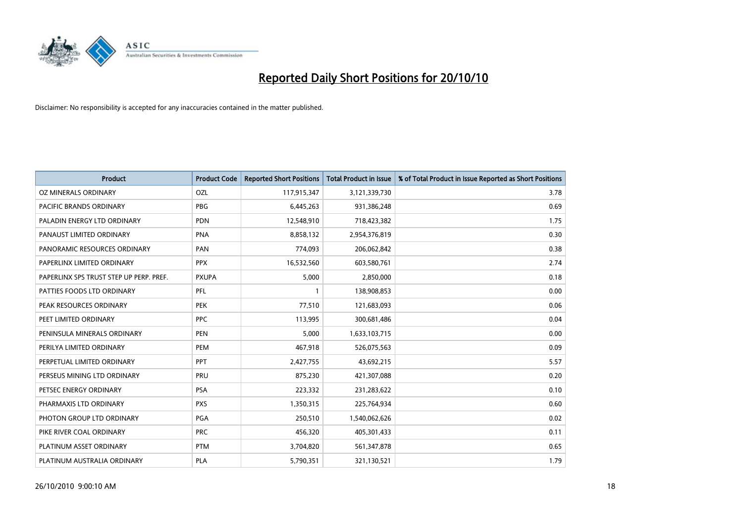

| <b>Product</b>                          | <b>Product Code</b> | <b>Reported Short Positions</b> | <b>Total Product in Issue</b> | % of Total Product in Issue Reported as Short Positions |
|-----------------------------------------|---------------------|---------------------------------|-------------------------------|---------------------------------------------------------|
| <b>OZ MINERALS ORDINARY</b>             | OZL                 | 117,915,347                     | 3,121,339,730                 | 3.78                                                    |
| PACIFIC BRANDS ORDINARY                 | <b>PBG</b>          | 6,445,263                       | 931,386,248                   | 0.69                                                    |
| PALADIN ENERGY LTD ORDINARY             | <b>PDN</b>          | 12,548,910                      | 718,423,382                   | 1.75                                                    |
| PANAUST LIMITED ORDINARY                | <b>PNA</b>          | 8,858,132                       | 2,954,376,819                 | 0.30                                                    |
| PANORAMIC RESOURCES ORDINARY            | PAN                 | 774,093                         | 206,062,842                   | 0.38                                                    |
| PAPERLINX LIMITED ORDINARY              | <b>PPX</b>          | 16,532,560                      | 603,580,761                   | 2.74                                                    |
| PAPERLINX SPS TRUST STEP UP PERP. PREF. | <b>PXUPA</b>        | 5,000                           | 2,850,000                     | 0.18                                                    |
| PATTIES FOODS LTD ORDINARY              | PFL                 |                                 | 138,908,853                   | 0.00                                                    |
| PEAK RESOURCES ORDINARY                 | <b>PEK</b>          | 77,510                          | 121,683,093                   | 0.06                                                    |
| PEET LIMITED ORDINARY                   | <b>PPC</b>          | 113,995                         | 300,681,486                   | 0.04                                                    |
| PENINSULA MINERALS ORDINARY             | <b>PEN</b>          | 5,000                           | 1,633,103,715                 | 0.00                                                    |
| PERILYA LIMITED ORDINARY                | PEM                 | 467,918                         | 526,075,563                   | 0.09                                                    |
| PERPETUAL LIMITED ORDINARY              | PPT                 | 2,427,755                       | 43,692,215                    | 5.57                                                    |
| PERSEUS MINING LTD ORDINARY             | PRU                 | 875,230                         | 421,307,088                   | 0.20                                                    |
| PETSEC ENERGY ORDINARY                  | <b>PSA</b>          | 223,332                         | 231,283,622                   | 0.10                                                    |
| PHARMAXIS LTD ORDINARY                  | <b>PXS</b>          | 1,350,315                       | 225,764,934                   | 0.60                                                    |
| PHOTON GROUP LTD ORDINARY               | <b>PGA</b>          | 250,510                         | 1,540,062,626                 | 0.02                                                    |
| PIKE RIVER COAL ORDINARY                | <b>PRC</b>          | 456,320                         | 405,301,433                   | 0.11                                                    |
| PLATINUM ASSET ORDINARY                 | <b>PTM</b>          | 3,704,820                       | 561,347,878                   | 0.65                                                    |
| PLATINUM AUSTRALIA ORDINARY             | <b>PLA</b>          | 5,790,351                       | 321,130,521                   | 1.79                                                    |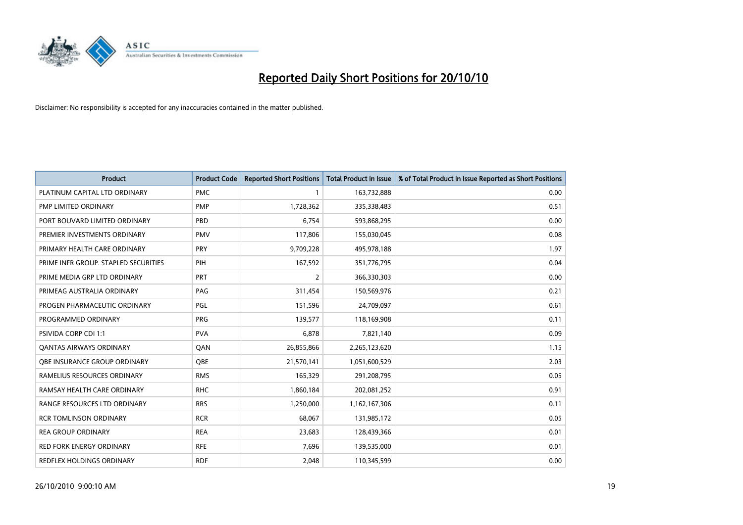

| <b>Product</b>                       | <b>Product Code</b> | <b>Reported Short Positions</b> | Total Product in Issue | % of Total Product in Issue Reported as Short Positions |
|--------------------------------------|---------------------|---------------------------------|------------------------|---------------------------------------------------------|
| PLATINUM CAPITAL LTD ORDINARY        | <b>PMC</b>          |                                 | 163,732,888            | 0.00                                                    |
| PMP LIMITED ORDINARY                 | <b>PMP</b>          | 1,728,362                       | 335,338,483            | 0.51                                                    |
| PORT BOUVARD LIMITED ORDINARY        | PBD                 | 6.754                           | 593,868,295            | 0.00                                                    |
| PREMIER INVESTMENTS ORDINARY         | <b>PMV</b>          | 117,806                         | 155,030,045            | 0.08                                                    |
| PRIMARY HEALTH CARE ORDINARY         | <b>PRY</b>          | 9,709,228                       | 495,978,188            | 1.97                                                    |
| PRIME INFR GROUP. STAPLED SECURITIES | PIH                 | 167,592                         | 351,776,795            | 0.04                                                    |
| PRIME MEDIA GRP LTD ORDINARY         | PRT                 | $\overline{2}$                  | 366,330,303            | 0.00                                                    |
| PRIMEAG AUSTRALIA ORDINARY           | PAG                 | 311,454                         | 150,569,976            | 0.21                                                    |
| PROGEN PHARMACEUTIC ORDINARY         | PGL                 | 151,596                         | 24,709,097             | 0.61                                                    |
| PROGRAMMED ORDINARY                  | <b>PRG</b>          | 139,577                         | 118,169,908            | 0.11                                                    |
| PSIVIDA CORP CDI 1:1                 | <b>PVA</b>          | 6,878                           | 7,821,140              | 0.09                                                    |
| <b>QANTAS AIRWAYS ORDINARY</b>       | QAN                 | 26,855,866                      | 2,265,123,620          | 1.15                                                    |
| <b>OBE INSURANCE GROUP ORDINARY</b>  | OBE                 | 21,570,141                      | 1,051,600,529          | 2.03                                                    |
| RAMELIUS RESOURCES ORDINARY          | <b>RMS</b>          | 165,329                         | 291,208,795            | 0.05                                                    |
| RAMSAY HEALTH CARE ORDINARY          | <b>RHC</b>          | 1,860,184                       | 202,081,252            | 0.91                                                    |
| <b>RANGE RESOURCES LTD ORDINARY</b>  | <b>RRS</b>          | 1,250,000                       | 1,162,167,306          | 0.11                                                    |
| <b>RCR TOMLINSON ORDINARY</b>        | <b>RCR</b>          | 68,067                          | 131,985,172            | 0.05                                                    |
| <b>REA GROUP ORDINARY</b>            | <b>REA</b>          | 23,683                          | 128,439,366            | 0.01                                                    |
| <b>RED FORK ENERGY ORDINARY</b>      | <b>RFE</b>          | 7,696                           | 139,535,000            | 0.01                                                    |
| REDFLEX HOLDINGS ORDINARY            | <b>RDF</b>          | 2,048                           | 110,345,599            | 0.00                                                    |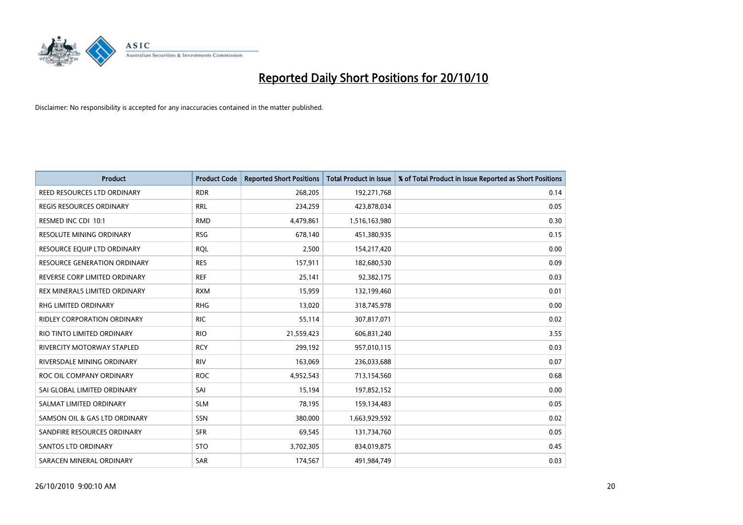

| <b>Product</b>                      | <b>Product Code</b> | <b>Reported Short Positions</b> | Total Product in Issue | % of Total Product in Issue Reported as Short Positions |
|-------------------------------------|---------------------|---------------------------------|------------------------|---------------------------------------------------------|
| REED RESOURCES LTD ORDINARY         | <b>RDR</b>          | 268,205                         | 192,271,768            | 0.14                                                    |
| <b>REGIS RESOURCES ORDINARY</b>     | <b>RRL</b>          | 234,259                         | 423,878,034            | 0.05                                                    |
| RESMED INC CDI 10:1                 | <b>RMD</b>          | 4,479,861                       | 1,516,163,980          | 0.30                                                    |
| RESOLUTE MINING ORDINARY            | <b>RSG</b>          | 678,140                         | 451,380,935            | 0.15                                                    |
| RESOURCE EQUIP LTD ORDINARY         | <b>ROL</b>          | 2,500                           | 154,217,420            | 0.00                                                    |
| <b>RESOURCE GENERATION ORDINARY</b> | <b>RES</b>          | 157,911                         | 182,680,530            | 0.09                                                    |
| REVERSE CORP LIMITED ORDINARY       | <b>REF</b>          | 25,141                          | 92,382,175             | 0.03                                                    |
| REX MINERALS LIMITED ORDINARY       | <b>RXM</b>          | 15,959                          | 132,199,460            | 0.01                                                    |
| RHG LIMITED ORDINARY                | <b>RHG</b>          | 13,020                          | 318,745,978            | 0.00                                                    |
| RIDLEY CORPORATION ORDINARY         | <b>RIC</b>          | 55,114                          | 307,817,071            | 0.02                                                    |
| RIO TINTO LIMITED ORDINARY          | <b>RIO</b>          | 21,559,423                      | 606,831,240            | 3.55                                                    |
| RIVERCITY MOTORWAY STAPLED          | <b>RCY</b>          | 299,192                         | 957,010,115            | 0.03                                                    |
| RIVERSDALE MINING ORDINARY          | <b>RIV</b>          | 163,069                         | 236,033,688            | 0.07                                                    |
| ROC OIL COMPANY ORDINARY            | <b>ROC</b>          | 4,952,543                       | 713,154,560            | 0.68                                                    |
| SAI GLOBAL LIMITED ORDINARY         | SAI                 | 15,194                          | 197,852,152            | 0.00                                                    |
| SALMAT LIMITED ORDINARY             | <b>SLM</b>          | 78,195                          | 159,134,483            | 0.05                                                    |
| SAMSON OIL & GAS LTD ORDINARY       | SSN                 | 380,000                         | 1,663,929,592          | 0.02                                                    |
| SANDFIRE RESOURCES ORDINARY         | <b>SFR</b>          | 69,545                          | 131,734,760            | 0.05                                                    |
| <b>SANTOS LTD ORDINARY</b>          | <b>STO</b>          | 3,702,305                       | 834,019,875            | 0.45                                                    |
| SARACEN MINERAL ORDINARY            | <b>SAR</b>          | 174,567                         | 491,984,749            | 0.03                                                    |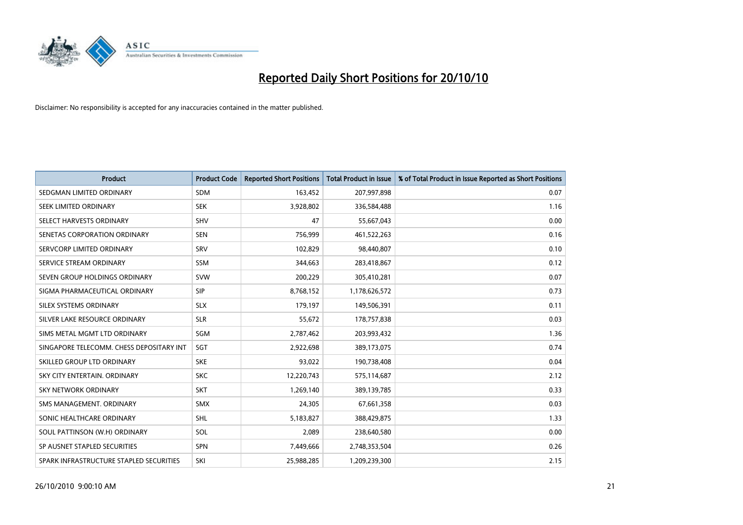

| <b>Product</b>                           | <b>Product Code</b> | <b>Reported Short Positions</b> | <b>Total Product in Issue</b> | % of Total Product in Issue Reported as Short Positions |
|------------------------------------------|---------------------|---------------------------------|-------------------------------|---------------------------------------------------------|
| SEDGMAN LIMITED ORDINARY                 | <b>SDM</b>          | 163,452                         | 207,997,898                   | 0.07                                                    |
| SEEK LIMITED ORDINARY                    | <b>SEK</b>          | 3,928,802                       | 336,584,488                   | 1.16                                                    |
| SELECT HARVESTS ORDINARY                 | SHV                 | 47                              | 55,667,043                    | 0.00                                                    |
| SENETAS CORPORATION ORDINARY             | <b>SEN</b>          | 756,999                         | 461,522,263                   | 0.16                                                    |
| SERVCORP LIMITED ORDINARY                | SRV                 | 102,829                         | 98,440,807                    | 0.10                                                    |
| SERVICE STREAM ORDINARY                  | <b>SSM</b>          | 344,663                         | 283,418,867                   | 0.12                                                    |
| SEVEN GROUP HOLDINGS ORDINARY            | <b>SVW</b>          | 200,229                         | 305,410,281                   | 0.07                                                    |
| SIGMA PHARMACEUTICAL ORDINARY            | SIP                 | 8,768,152                       | 1,178,626,572                 | 0.73                                                    |
| SILEX SYSTEMS ORDINARY                   | <b>SLX</b>          | 179,197                         | 149,506,391                   | 0.11                                                    |
| SILVER LAKE RESOURCE ORDINARY            | <b>SLR</b>          | 55,672                          | 178,757,838                   | 0.03                                                    |
| SIMS METAL MGMT LTD ORDINARY             | SGM                 | 2,787,462                       | 203,993,432                   | 1.36                                                    |
| SINGAPORE TELECOMM. CHESS DEPOSITARY INT | SGT                 | 2,922,698                       | 389,173,075                   | 0.74                                                    |
| SKILLED GROUP LTD ORDINARY               | <b>SKE</b>          | 93,022                          | 190,738,408                   | 0.04                                                    |
| SKY CITY ENTERTAIN, ORDINARY             | <b>SKC</b>          | 12,220,743                      | 575,114,687                   | 2.12                                                    |
| <b>SKY NETWORK ORDINARY</b>              | <b>SKT</b>          | 1,269,140                       | 389,139,785                   | 0.33                                                    |
| SMS MANAGEMENT, ORDINARY                 | <b>SMX</b>          | 24,305                          | 67,661,358                    | 0.03                                                    |
| SONIC HEALTHCARE ORDINARY                | <b>SHL</b>          | 5,183,827                       | 388,429,875                   | 1.33                                                    |
| SOUL PATTINSON (W.H) ORDINARY            | SOL                 | 2,089                           | 238,640,580                   | 0.00                                                    |
| SP AUSNET STAPLED SECURITIES             | SPN                 | 7,449,666                       | 2,748,353,504                 | 0.26                                                    |
| SPARK INFRASTRUCTURE STAPLED SECURITIES  | SKI                 | 25,988,285                      | 1,209,239,300                 | 2.15                                                    |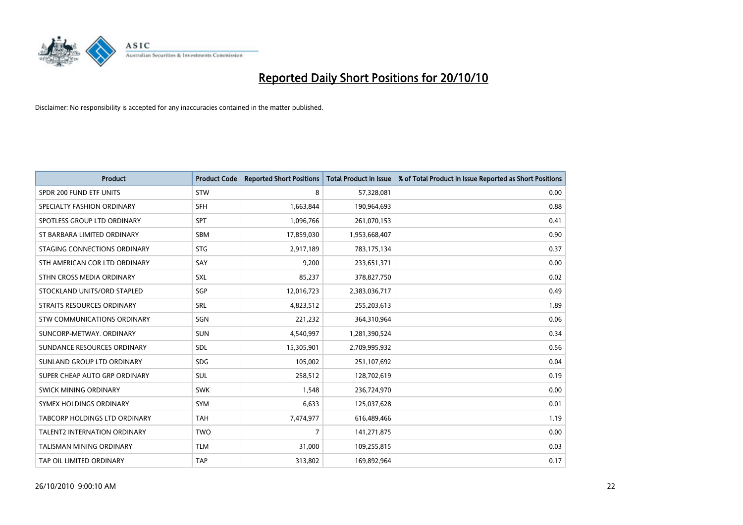

| <b>Product</b>                       | <b>Product Code</b> | <b>Reported Short Positions</b> | <b>Total Product in Issue</b> | % of Total Product in Issue Reported as Short Positions |
|--------------------------------------|---------------------|---------------------------------|-------------------------------|---------------------------------------------------------|
| SPDR 200 FUND ETF UNITS              | <b>STW</b>          | 8                               | 57,328,081                    | 0.00                                                    |
| SPECIALTY FASHION ORDINARY           | SFH                 | 1,663,844                       | 190,964,693                   | 0.88                                                    |
| SPOTLESS GROUP LTD ORDINARY          | SPT                 | 1,096,766                       | 261,070,153                   | 0.41                                                    |
| ST BARBARA LIMITED ORDINARY          | <b>SBM</b>          | 17,859,030                      | 1,953,668,407                 | 0.90                                                    |
| STAGING CONNECTIONS ORDINARY         | <b>STG</b>          | 2,917,189                       | 783,175,134                   | 0.37                                                    |
| STH AMERICAN COR LTD ORDINARY        | SAY                 | 9,200                           | 233,651,371                   | 0.00                                                    |
| STHN CROSS MEDIA ORDINARY            | <b>SXL</b>          | 85,237                          | 378,827,750                   | 0.02                                                    |
| STOCKLAND UNITS/ORD STAPLED          | SGP                 | 12,016,723                      | 2,383,036,717                 | 0.49                                                    |
| STRAITS RESOURCES ORDINARY           | SRL                 | 4,823,512                       | 255,203,613                   | 1.89                                                    |
| STW COMMUNICATIONS ORDINARY          | SGN                 | 221,232                         | 364,310,964                   | 0.06                                                    |
| SUNCORP-METWAY, ORDINARY             | <b>SUN</b>          | 4,540,997                       | 1,281,390,524                 | 0.34                                                    |
| SUNDANCE RESOURCES ORDINARY          | SDL                 | 15,305,901                      | 2,709,995,932                 | 0.56                                                    |
| SUNLAND GROUP LTD ORDINARY           | <b>SDG</b>          | 105,002                         | 251,107,692                   | 0.04                                                    |
| SUPER CHEAP AUTO GRP ORDINARY        | <b>SUL</b>          | 258,512                         | 128,702,619                   | 0.19                                                    |
| SWICK MINING ORDINARY                | <b>SWK</b>          | 1,548                           | 236,724,970                   | 0.00                                                    |
| SYMEX HOLDINGS ORDINARY              | SYM                 | 6,633                           | 125,037,628                   | 0.01                                                    |
| <b>TABCORP HOLDINGS LTD ORDINARY</b> | <b>TAH</b>          | 7,474,977                       | 616,489,466                   | 1.19                                                    |
| <b>TALENT2 INTERNATION ORDINARY</b>  | <b>TWO</b>          | 7                               | 141,271,875                   | 0.00                                                    |
| <b>TALISMAN MINING ORDINARY</b>      | <b>TLM</b>          | 31,000                          | 109,255,815                   | 0.03                                                    |
| TAP OIL LIMITED ORDINARY             | <b>TAP</b>          | 313,802                         | 169,892,964                   | 0.17                                                    |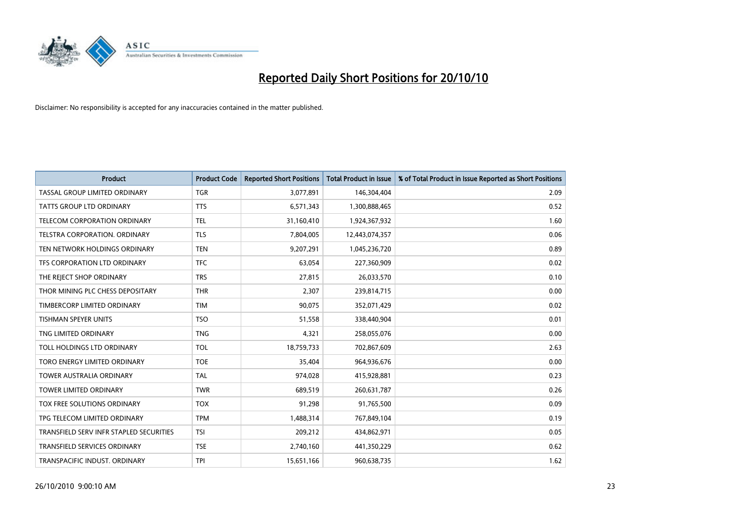

| <b>Product</b>                          | <b>Product Code</b> | <b>Reported Short Positions</b> | <b>Total Product in Issue</b> | % of Total Product in Issue Reported as Short Positions |
|-----------------------------------------|---------------------|---------------------------------|-------------------------------|---------------------------------------------------------|
| <b>TASSAL GROUP LIMITED ORDINARY</b>    | <b>TGR</b>          | 3,077,891                       | 146,304,404                   | 2.09                                                    |
| <b>TATTS GROUP LTD ORDINARY</b>         | <b>TTS</b>          | 6,571,343                       | 1,300,888,465                 | 0.52                                                    |
| TELECOM CORPORATION ORDINARY            | <b>TEL</b>          | 31,160,410                      | 1,924,367,932                 | 1.60                                                    |
| TELSTRA CORPORATION. ORDINARY           | <b>TLS</b>          | 7,804,005                       | 12,443,074,357                | 0.06                                                    |
| TEN NETWORK HOLDINGS ORDINARY           | <b>TEN</b>          | 9,207,291                       | 1,045,236,720                 | 0.89                                                    |
| TFS CORPORATION LTD ORDINARY            | <b>TFC</b>          | 63,054                          | 227,360,909                   | 0.02                                                    |
| THE REJECT SHOP ORDINARY                | <b>TRS</b>          | 27,815                          | 26,033,570                    | 0.10                                                    |
| THOR MINING PLC CHESS DEPOSITARY        | <b>THR</b>          | 2,307                           | 239,814,715                   | 0.00                                                    |
| TIMBERCORP LIMITED ORDINARY             | <b>TIM</b>          | 90,075                          | 352,071,429                   | 0.02                                                    |
| <b>TISHMAN SPEYER UNITS</b>             | <b>TSO</b>          | 51,558                          | 338,440,904                   | 0.01                                                    |
| TNG LIMITED ORDINARY                    | <b>TNG</b>          | 4,321                           | 258,055,076                   | 0.00                                                    |
| TOLL HOLDINGS LTD ORDINARY              | TOL                 | 18,759,733                      | 702,867,609                   | 2.63                                                    |
| TORO ENERGY LIMITED ORDINARY            | <b>TOE</b>          | 35.404                          | 964,936,676                   | 0.00                                                    |
| <b>TOWER AUSTRALIA ORDINARY</b>         | <b>TAL</b>          | 974,028                         | 415,928,881                   | 0.23                                                    |
| TOWER LIMITED ORDINARY                  | <b>TWR</b>          | 689,519                         | 260,631,787                   | 0.26                                                    |
| <b>TOX FREE SOLUTIONS ORDINARY</b>      | <b>TOX</b>          | 91,298                          | 91,765,500                    | 0.09                                                    |
| TPG TELECOM LIMITED ORDINARY            | <b>TPM</b>          | 1,488,314                       | 767,849,104                   | 0.19                                                    |
| TRANSFIELD SERV INFR STAPLED SECURITIES | <b>TSI</b>          | 209,212                         | 434,862,971                   | 0.05                                                    |
| <b>TRANSFIELD SERVICES ORDINARY</b>     | <b>TSE</b>          | 2,740,160                       | 441,350,229                   | 0.62                                                    |
| TRANSPACIFIC INDUST, ORDINARY           | <b>TPI</b>          | 15,651,166                      | 960,638,735                   | 1.62                                                    |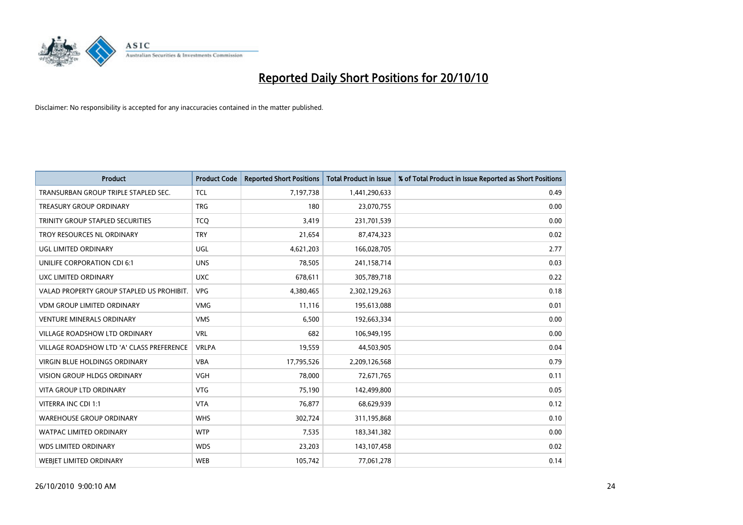

| <b>Product</b>                            | <b>Product Code</b> | <b>Reported Short Positions</b> | <b>Total Product in Issue</b> | % of Total Product in Issue Reported as Short Positions |
|-------------------------------------------|---------------------|---------------------------------|-------------------------------|---------------------------------------------------------|
| TRANSURBAN GROUP TRIPLE STAPLED SEC.      | <b>TCL</b>          | 7,197,738                       | 1,441,290,633                 | 0.49                                                    |
| <b>TREASURY GROUP ORDINARY</b>            | <b>TRG</b>          | 180                             | 23,070,755                    | 0.00                                                    |
| TRINITY GROUP STAPLED SECURITIES          | <b>TCO</b>          | 3,419                           | 231,701,539                   | 0.00                                                    |
| TROY RESOURCES NL ORDINARY                | <b>TRY</b>          | 21,654                          | 87,474,323                    | 0.02                                                    |
| UGL LIMITED ORDINARY                      | <b>UGL</b>          | 4,621,203                       | 166,028,705                   | 2.77                                                    |
| UNILIFE CORPORATION CDI 6:1               | <b>UNS</b>          | 78,505                          | 241,158,714                   | 0.03                                                    |
| UXC LIMITED ORDINARY                      | <b>UXC</b>          | 678,611                         | 305,789,718                   | 0.22                                                    |
| VALAD PROPERTY GROUP STAPLED US PROHIBIT. | <b>VPG</b>          | 4,380,465                       | 2,302,129,263                 | 0.18                                                    |
| <b>VDM GROUP LIMITED ORDINARY</b>         | <b>VMG</b>          | 11,116                          | 195,613,088                   | 0.01                                                    |
| <b>VENTURE MINERALS ORDINARY</b>          | <b>VMS</b>          | 6,500                           | 192,663,334                   | 0.00                                                    |
| VILLAGE ROADSHOW LTD ORDINARY             | <b>VRL</b>          | 682                             | 106,949,195                   | 0.00                                                    |
| VILLAGE ROADSHOW LTD 'A' CLASS PREFERENCE | <b>VRLPA</b>        | 19,559                          | 44,503,905                    | 0.04                                                    |
| VIRGIN BLUE HOLDINGS ORDINARY             | <b>VBA</b>          | 17,795,526                      | 2,209,126,568                 | 0.79                                                    |
| <b>VISION GROUP HLDGS ORDINARY</b>        | VGH                 | 78,000                          | 72,671,765                    | 0.11                                                    |
| <b>VITA GROUP LTD ORDINARY</b>            | <b>VTG</b>          | 75,190                          | 142,499,800                   | 0.05                                                    |
| VITERRA INC CDI 1:1                       | <b>VTA</b>          | 76,877                          | 68,629,939                    | 0.12                                                    |
| <b>WAREHOUSE GROUP ORDINARY</b>           | <b>WHS</b>          | 302,724                         | 311,195,868                   | 0.10                                                    |
| WATPAC LIMITED ORDINARY                   | <b>WTP</b>          | 7,535                           | 183,341,382                   | 0.00                                                    |
| <b>WDS LIMITED ORDINARY</b>               | <b>WDS</b>          | 23,203                          | 143,107,458                   | 0.02                                                    |
| <b>WEBJET LIMITED ORDINARY</b>            | <b>WEB</b>          | 105,742                         | 77,061,278                    | 0.14                                                    |